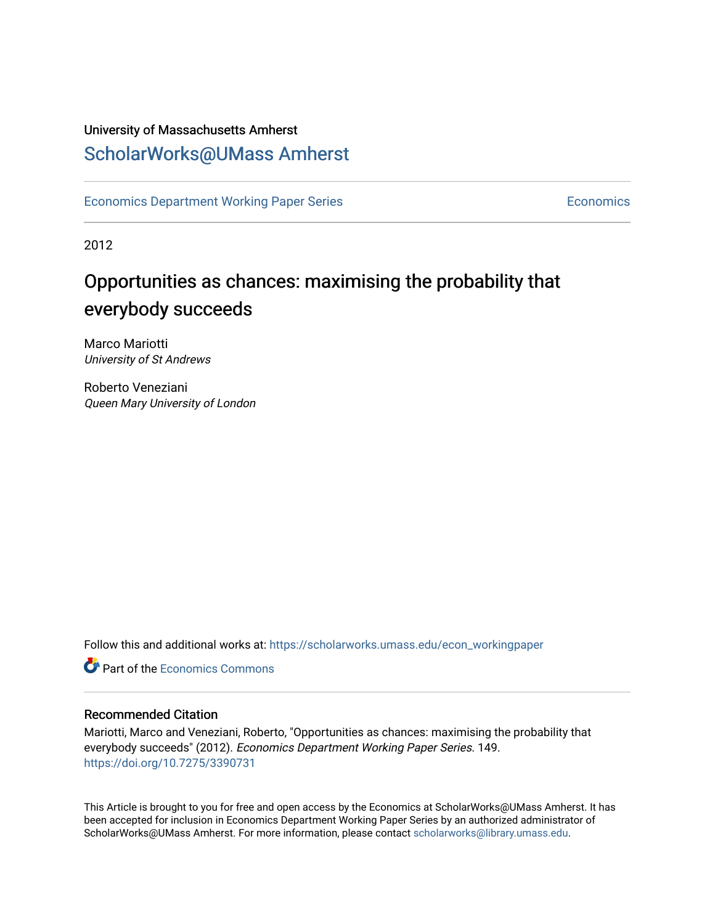### University of Massachusetts Amherst [ScholarWorks@UMass Amherst](https://scholarworks.umass.edu/)

[Economics Department Working Paper Series](https://scholarworks.umass.edu/econ_workingpaper) **Economics** [Economics](https://scholarworks.umass.edu/economics) Economics

2012

# Opportunities as chances: maximising the probability that everybody succeeds

Marco Mariotti University of St Andrews

Roberto Veneziani Queen Mary University of London

Follow this and additional works at: [https://scholarworks.umass.edu/econ\\_workingpaper](https://scholarworks.umass.edu/econ_workingpaper?utm_source=scholarworks.umass.edu%2Fecon_workingpaper%2F149&utm_medium=PDF&utm_campaign=PDFCoverPages) 

**C** Part of the [Economics Commons](http://network.bepress.com/hgg/discipline/340?utm_source=scholarworks.umass.edu%2Fecon_workingpaper%2F149&utm_medium=PDF&utm_campaign=PDFCoverPages)

#### Recommended Citation

Mariotti, Marco and Veneziani, Roberto, "Opportunities as chances: maximising the probability that everybody succeeds" (2012). Economics Department Working Paper Series. 149. <https://doi.org/10.7275/3390731>

This Article is brought to you for free and open access by the Economics at ScholarWorks@UMass Amherst. It has been accepted for inclusion in Economics Department Working Paper Series by an authorized administrator of ScholarWorks@UMass Amherst. For more information, please contact [scholarworks@library.umass.edu.](mailto:scholarworks@library.umass.edu)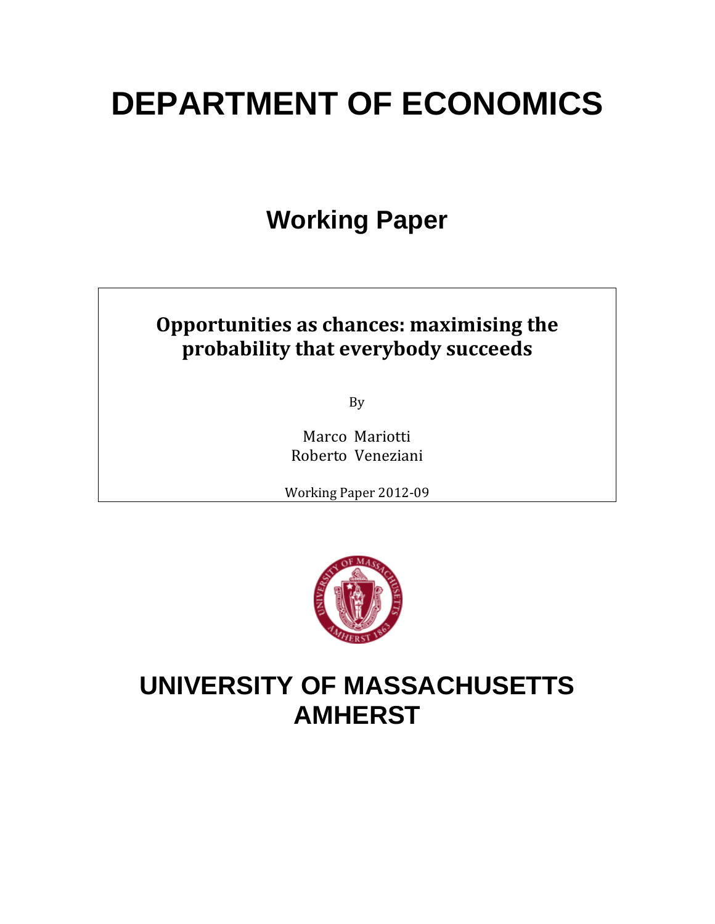# **DEPARTMENT OF ECONOMICS**

# **Working Paper**

# **Opportunities as chances: maximising the probability that everybody succeeds**

By 

Marco Mariotti Roberto Veneziani 

Working Paper 2012-09



# **UNIVERSITY OF MASSACHUSETTS AMHERST**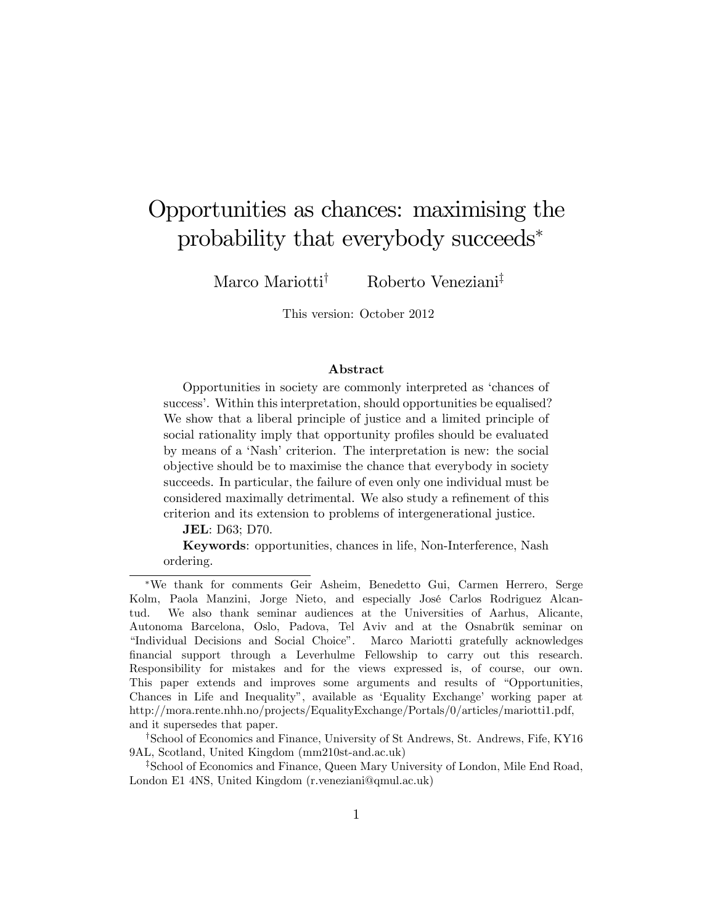# Opportunities as chances: maximising the probability that everybody succeeds

Marco Mariotti<sup>†</sup> Roberto Veneziani<sup>‡</sup>

This version: October 2012

#### Abstract

Opportunities in society are commonly interpreted as ëchances of success'. Within this interpretation, should opportunities be equalised? We show that a liberal principle of justice and a limited principle of social rationality imply that opportunity profiles should be evaluated by means of a 'Nash' criterion. The interpretation is new: the social objective should be to maximise the chance that everybody in society succeeds. In particular, the failure of even only one individual must be considered maximally detrimental. We also study a refinement of this criterion and its extension to problems of intergenerational justice.

JEL: D63; D70.

Keywords: opportunities, chances in life, Non-Interference, Nash ordering.

We thank for comments Geir Asheim, Benedetto Gui, Carmen Herrero, Serge Kolm, Paola Manzini, Jorge Nieto, and especially José Carlos Rodriguez Alcantud. We also thank seminar audiences at the Universities of Aarhus, Alicante, Autonoma Barcelona, Oslo, Padova, Tel Aviv and at the Osnabrük seminar on "Individual Decisions and Social Choice". Marco Mariotti gratefully acknowledges Önancial support through a Leverhulme Fellowship to carry out this research. Responsibility for mistakes and for the views expressed is, of course, our own. This paper extends and improves some arguments and results of "Opportunities, Chances in Life and Inequality", available as 'Equality Exchange' working paper at http://mora.rente.nhh.no/projects/EqualityExchange/Portals/0/articles/mariotti1.pdf, and it supersedes that paper.

<sup>&</sup>lt;sup>†</sup>School of Economics and Finance, University of St Andrews, St. Andrews, Fife, KY16 9AL, Scotland, United Kingdom (mm210st-and.ac.uk)

<sup>&</sup>lt;sup>‡</sup>School of Economics and Finance, Queen Mary University of London, Mile End Road, London E1 4NS, United Kingdom (r.veneziani@qmul.ac.uk)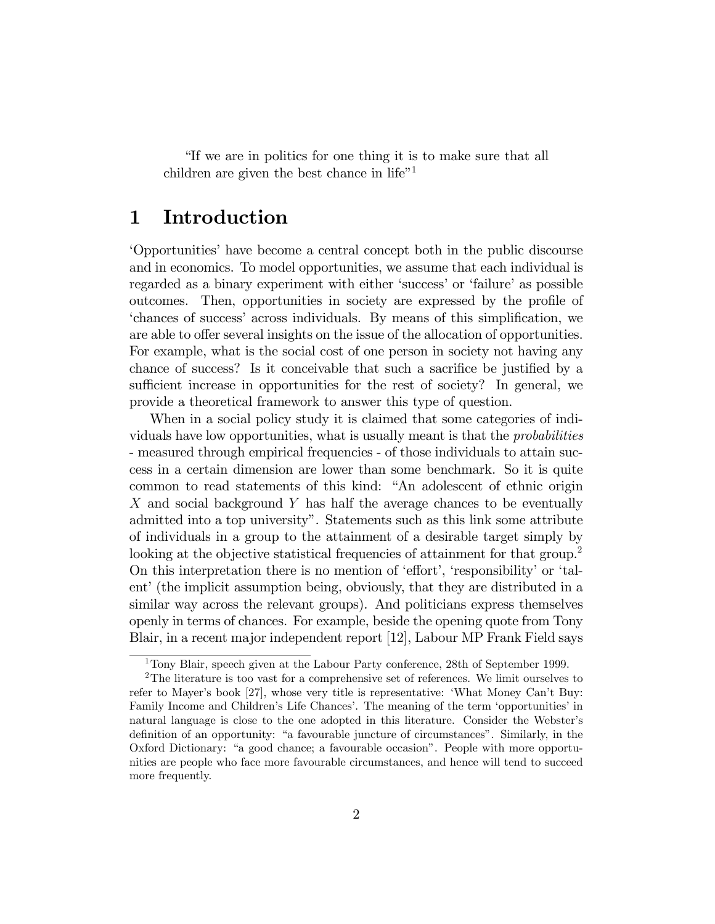"If we are in politics for one thing it is to make sure that all children are given the best chance in life"<sup>1</sup>

#### Introduction  $\mathbf 1$

Opportunities' have become a central concept both in the public discourse and in economics. To model opportunities, we assume that each individual is regarded as a binary experiment with either 'success' or 'failure' as possible outcomes. Then, opportunities in society are expressed by the profile of 'chances of success' across individuals. By means of this simplification, we are able to offer several insights on the issue of the allocation of opportunities. For example, what is the social cost of one person in society not having any chance of success? Is it conceivable that such a sacrifice be justified by a sufficient increase in opportunities for the rest of society? In general, we provide a theoretical framework to answer this type of question.

When in a social policy study it is claimed that some categories of individuals have low opportunities, what is usually meant is that the *probabilities* - measured through empirical frequencies - of those individuals to attain success in a certain dimension are lower than some benchmark. So it is quite common to read statements of this kind: "An adolescent of ethnic origin X and social background Y has half the average chances to be eventually admitted into a top university". Statements such as this link some attribute of individuals in a group to the attainment of a desirable target simply by looking at the objective statistical frequencies of attainment for that group.<sup>2</sup> On this interpretation there is no mention of 'effort', 'responsibility' or 'talent' (the implicit assumption being, obviously, that they are distributed in a similar way across the relevant groups). And politicians express themselves openly in terms of chances. For example, beside the opening quote from Tony Blair, in a recent major independent report [12], Labour MP Frank Field says

<sup>&</sup>lt;sup>1</sup>Tony Blair, speech given at the Labour Party conference, 28th of September 1999.

<sup>&</sup>lt;sup>2</sup>The literature is too vast for a comprehensive set of references. We limit ourselves to refer to Mayer's book [27], whose very title is representative: 'What Money Can't Buy: Family Income and Children's Life Chances'. The meaning of the term 'opportunities' in natural language is close to the one adopted in this literature. Consider the Webster's definition of an opportunity: "a favourable juncture of circumstances". Similarly, in the Oxford Dictionary: "a good chance; a favourable occasion". People with more opportunities are people who face more favourable circumstances, and hence will tend to succeed more frequently.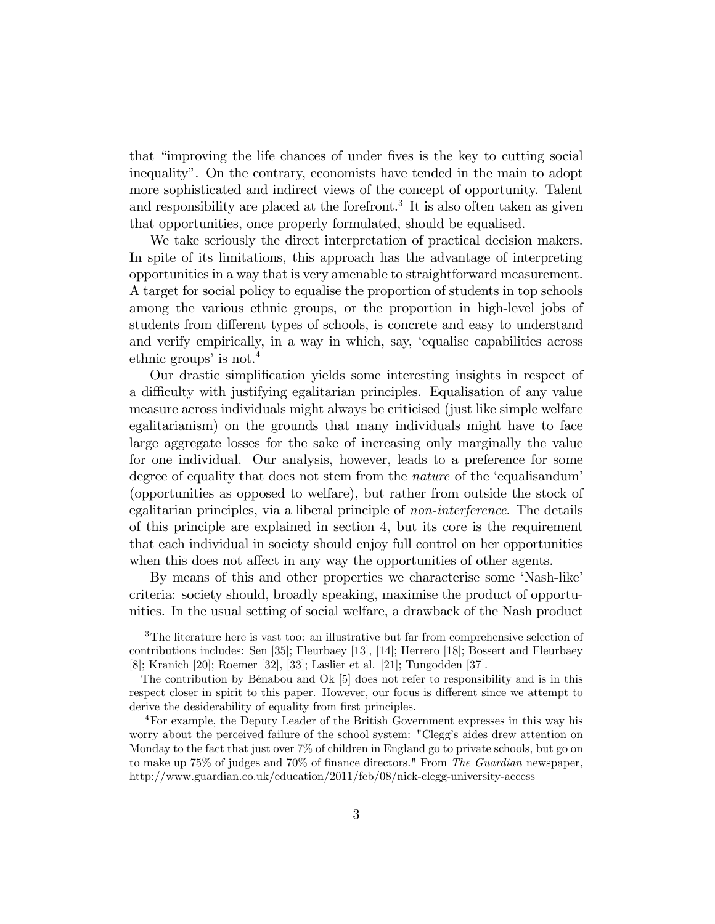that "improving the life chances of under fives is the key to cutting social inequality". On the contrary, economists have tended in the main to adopt more sophisticated and indirect views of the concept of opportunity. Talent and responsibility are placed at the forefront.<sup>3</sup> It is also often taken as given that opportunities, once properly formulated, should be equalised.

We take seriously the direct interpretation of practical decision makers. In spite of its limitations, this approach has the advantage of interpreting opportunities in a way that is very amenable to straightforward measurement. A target for social policy to equalise the proportion of students in top schools among the various ethnic groups, or the proportion in high-level jobs of students from different types of schools, is concrete and easy to understand and verify empirically, in a way in which, say, 'equalise capabilities across ethnic groups' is not.<sup>4</sup>

Our drastic simplification yields some interesting insights in respect of a difficulty with justifying egalitarian principles. Equalisation of any value measure across individuals might always be criticised (just like simple welfare egalitarianism) on the grounds that many individuals might have to face large aggregate losses for the sake of increasing only marginally the value for one individual. Our analysis, however, leads to a preference for some degree of equality that does not stem from the *nature* of the 'equalisandum' (opportunities as opposed to welfare), but rather from outside the stock of egalitarian principles, via a liberal principle of *non-interference*. The details of this principle are explained in section 4, but its core is the requirement that each individual in society should enjoy full control on her opportunities when this does not affect in any way the opportunities of other agents.

By means of this and other properties we characterise some 'Nash-like' criteria: society should, broadly speaking, maximise the product of opportunities. In the usual setting of social welfare, a drawback of the Nash product

 $3$ The literature here is vast too: an illustrative but far from comprehensive selection of contributions includes: Sen [35]; Fleurbaey [13], [14]; Herrero [18]; Bossert and Fleurbaey [8]; Kranich [20]; Roemer [32], [33]; Laslier et al. [21]; Tungodden [37].

The contribution by Bénabou and Ok [5] does not refer to responsibility and is in this respect closer in spirit to this paper. However, our focus is different since we attempt to derive the desiderability of equality from first principles.

<sup>&</sup>lt;sup>4</sup>For example, the Deputy Leader of the British Government expresses in this way his worry about the perceived failure of the school system: "Clegg's aides drew attention on Monday to the fact that just over 7% of children in England go to private schools, but go on to make up 75% of judges and 70% of finance directors." From The Guardian newspaper, http://www.guardian.co.uk/education/2011/feb/08/nick-clegg-university-access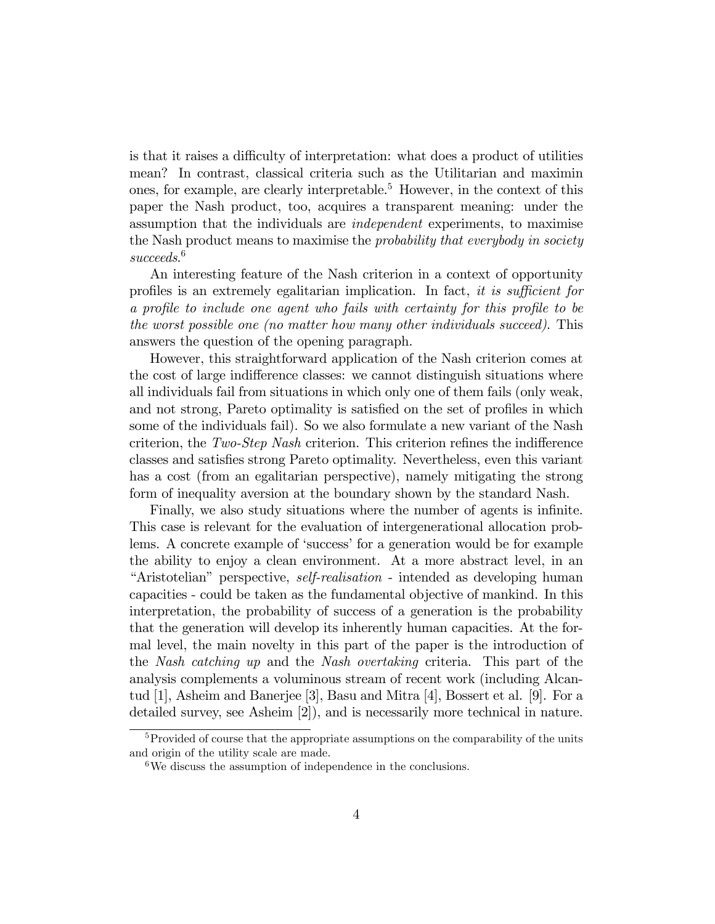is that it raises a difficulty of interpretation: what does a product of utilities mean? In contrast, classical criteria such as the Utilitarian and maximin ones, for example, are clearly interpretable.<sup>5</sup> However, in the context of this paper the Nash product, too, acquires a transparent meaning: under the assumption that the individuals are independent experiments, to maximise the Nash product means to maximise the *probability that everybody in society* succeeds. 6

An interesting feature of the Nash criterion in a context of opportunity profiles is an extremely egalitarian implication. In fact, it is sufficient for a profile to include one agent who fails with certainty for this profile to be the worst possible one (no matter how many other individuals succeed). This answers the question of the opening paragraph.

However, this straightforward application of the Nash criterion comes at the cost of large indifference classes: we cannot distinguish situations where all individuals fail from situations in which only one of them fails (only weak, and not strong, Pareto optimality is satisfied on the set of profiles in which some of the individuals fail). So we also formulate a new variant of the Nash criterion, the  $Two-Step$  Nash criterion. This criterion refines the indifference classes and satisÖes strong Pareto optimality. Nevertheless, even this variant has a cost (from an egalitarian perspective), namely mitigating the strong form of inequality aversion at the boundary shown by the standard Nash.

Finally, we also study situations where the number of agents is infinite. This case is relevant for the evaluation of intergenerational allocation problems. A concrete example of 'success' for a generation would be for example the ability to enjoy a clean environment. At a more abstract level, in an <sup>"</sup>Aristotelian" perspective, *self-realisation* - intended as developing human capacities - could be taken as the fundamental objective of mankind. In this interpretation, the probability of success of a generation is the probability that the generation will develop its inherently human capacities. At the formal level, the main novelty in this part of the paper is the introduction of the Nash catching up and the Nash overtaking criteria. This part of the analysis complements a voluminous stream of recent work (including Alcantud [1], Asheim and Banerjee [3], Basu and Mitra [4], Bossert et al. [9]. For a detailed survey, see Asheim [2]), and is necessarily more technical in nature.

<sup>&</sup>lt;sup>5</sup>Provided of course that the appropriate assumptions on the comparability of the units and origin of the utility scale are made.

<sup>6</sup>We discuss the assumption of independence in the conclusions.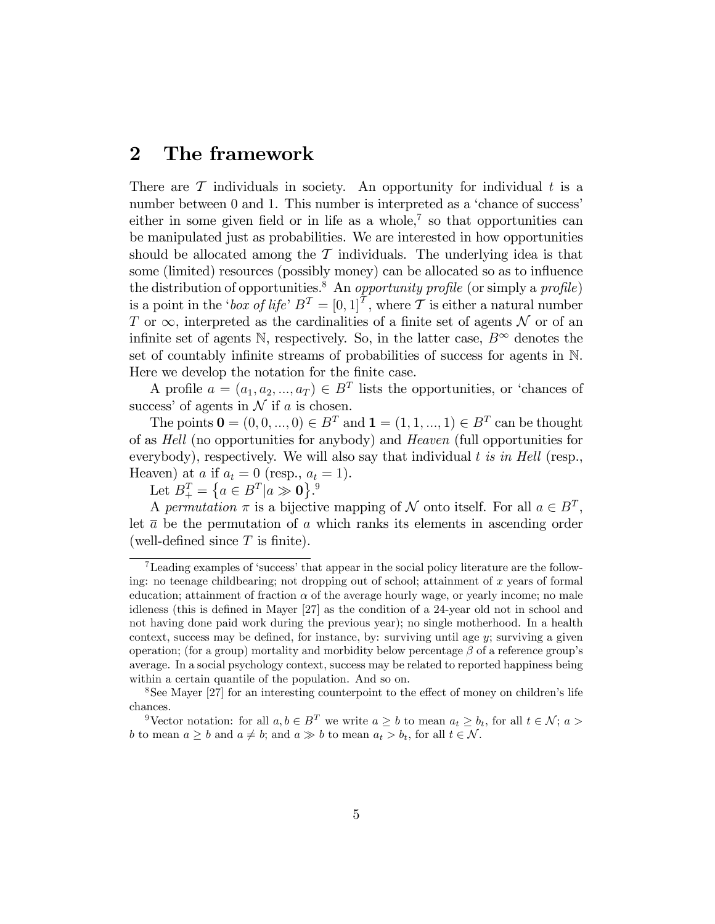#### $\bf{2}$ The framework

There are  $\mathcal T$  individuals in society. An opportunity for individual t is a number between 0 and 1. This number is interpreted as a 'chance of success' either in some given field or in life as a whole,<sup> $7$ </sup> so that opportunities can be manipulated just as probabilities. We are interested in how opportunities should be allocated among the  $\mathcal T$  individuals. The underlying idea is that some (limited) resources (possibly money) can be allocated so as to influence the distribution of opportunities.<sup>8</sup> An *opportunity profile* (or simply a *profile*) is a point in the '*box of life*'  $B^T = [0, 1]^T$ , where T is either a natural number T or  $\infty$ , interpreted as the cardinalities of a finite set of agents N or of an infinite set of agents N, respectively. So, in the latter case,  $B^{\infty}$  denotes the set of countably infinite streams of probabilities of success for agents in N. Here we develop the notation for the finite case.

A profile  $a = (a_1, a_2, ..., a_T) \in B^T$  lists the opportunities, or 'chances of success' of agents in  $N$  if a is chosen.

The points  $\mathbf{0} = (0, 0, ..., 0) \in B^T$  and  $\mathbf{1} = (1, 1, ..., 1) \in B^T$  can be thought of as *Hell* (no opportunities for anybody) and *Heaven* (full opportunities for everybody), respectively. We will also say that individual  $t$  is in Hell (resp., Heaven) at a if  $a_t = 0$  (resp.,  $a_t = 1$ ).

Let  $B_+^T = \{a \in B^T | a \gg \mathbf{0}\}\.^9$ 

A permutation  $\pi$  is a bijective mapping of  $\mathcal N$  onto itself. For all  $a \in B^T$ , let  $\bar{a}$  be the permutation of a which ranks its elements in ascending order (well-defined since  $T$  is finite).

 ${\rm ^7Leading}$  examples of 'success' that appear in the social policy literature are the following: no teenage childbearing; not dropping out of school; attainment of  $x$  years of formal education; attainment of fraction  $\alpha$  of the average hourly wage, or yearly income; no male idleness (this is defined in Mayer [27] as the condition of a 24-year old not in school and not having done paid work during the previous year); no single motherhood. In a health context, success may be defined, for instance, by: surviving until age  $y$ ; surviving a given operation; (for a group) mortality and morbidity below percentage  $\beta$  of a reference group's average. In a social psychology context, success may be related to reported happiness being within a certain quantile of the population. And so on.

<sup>&</sup>lt;sup>8</sup>See Mayer [27] for an interesting counterpoint to the effect of money on children's life chances.

<sup>&</sup>lt;sup>9</sup>Vector notation: for all  $a, b \in B^T$  we write  $a \ge b$  to mean  $a_t \ge b_t$ , for all  $t \in \mathcal{N}$ ;  $a >$ b to mean  $a \geq b$  and  $a \neq b$ ; and  $a \gg b$  to mean  $a_t > b_t$ , for all  $t \in \mathcal{N}$ .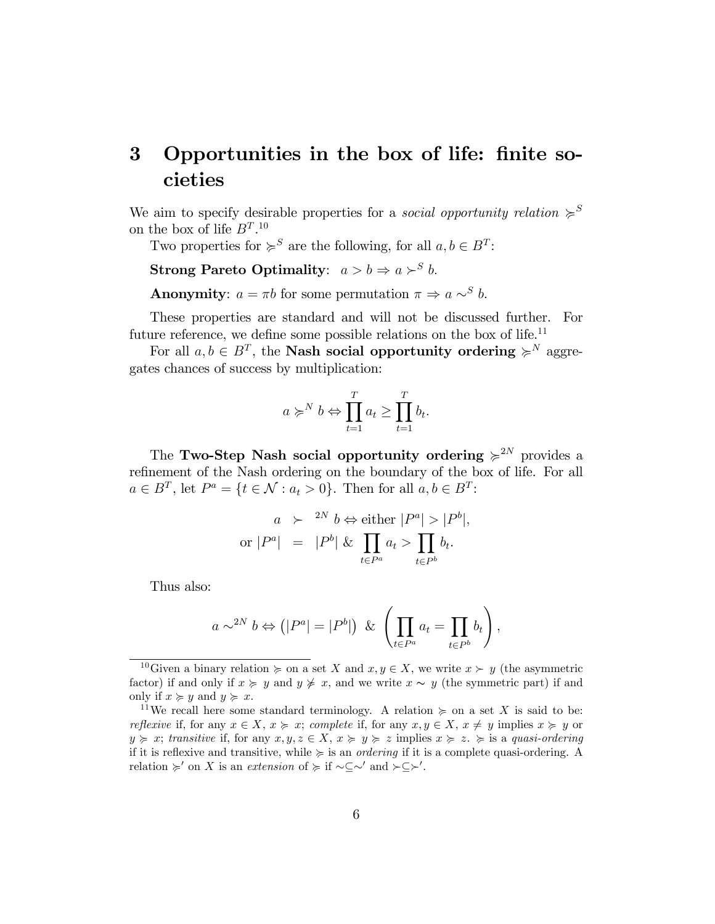## 3 Opportunities in the box of life: finite societies

We aim to specify desirable properties for a *social opportunity relation*  $\succeq^S$ on the box of life  $B<sup>T</sup>$ .<sup>10</sup>

Two properties for  $\succcurlyeq^S$  are the following, for all  $a, b \in B^T$ :

**Strong Pareto Optimality**:  $a > b \Rightarrow a \succ^S b$ .

**Anonymity:**  $a = \pi b$  for some permutation  $\pi \Rightarrow a \sim^S b$ .

These properties are standard and will not be discussed further. For future reference, we define some possible relations on the box of life.<sup>11</sup>

For all  $a, b \in B^T$ , the **Nash social opportunity ordering**  $\succeq^N$  aggregates chances of success by multiplication:

$$
a \succcurlyeq^N b \Leftrightarrow \prod_{t=1}^T a_t \ge \prod_{t=1}^T b_t.
$$

The Two-Step Nash social opportunity ordering  $\geq 2^N$  provides a refinement of the Nash ordering on the boundary of the box of life. For all  $a \in B^T$ , let  $P^a = \{t \in \mathcal{N} : a_t > 0\}$ . Then for all  $a, b \in B^T$ :

$$
a \succ^{2N} b \Leftrightarrow \text{either } |P^a| > |P^b|,
$$
  
or  $|P^a| = |P^b| \& \prod_{t \in P^a} a_t > \prod_{t \in P^b} b_t.$ 

Thus also:

$$
a \sim^{2N} b \Leftrightarrow (|P^a| = |P^b|) \& \left(\prod_{t \in P^a} a_t = \prod_{t \in P^b} b_t\right),
$$

<sup>&</sup>lt;sup>10</sup>Given a binary relation  $\succcurlyeq$  on a set X and  $x, y \in X$ , we write  $x \succ y$  (the asymmetric factor) if and only if  $x \geq y$  and  $y \not\geq x$ , and we write  $x \sim y$  (the symmetric part) if and only if  $x \geq y$  and  $y \geq x$ .

<sup>&</sup>lt;sup>11</sup>We recall here some standard terminology. A relation  $\succeq$  on a set X is said to be: reflexive if, for any  $x \in X$ ,  $x \geq x$ ; complete if, for any  $x, y \in X$ ,  $x \neq y$  implies  $x \geq y$  or  $y \geq x$ ; transitive if, for any  $x, y, z \in X$ ,  $x \geq y \geq z$  implies  $x \geq z$ .  $\geq z$  is a quasi-ordering if it is reflexive and transitive, while  $\succeq$  is an *ordering* if it is a complete quasi-ordering. A relation  $\succcurlyeq'$  on X is an extension of  $\succcurlyeq$  if  $\sim \subseteq \sim'$  and  $\succ \subseteq \succ'$ .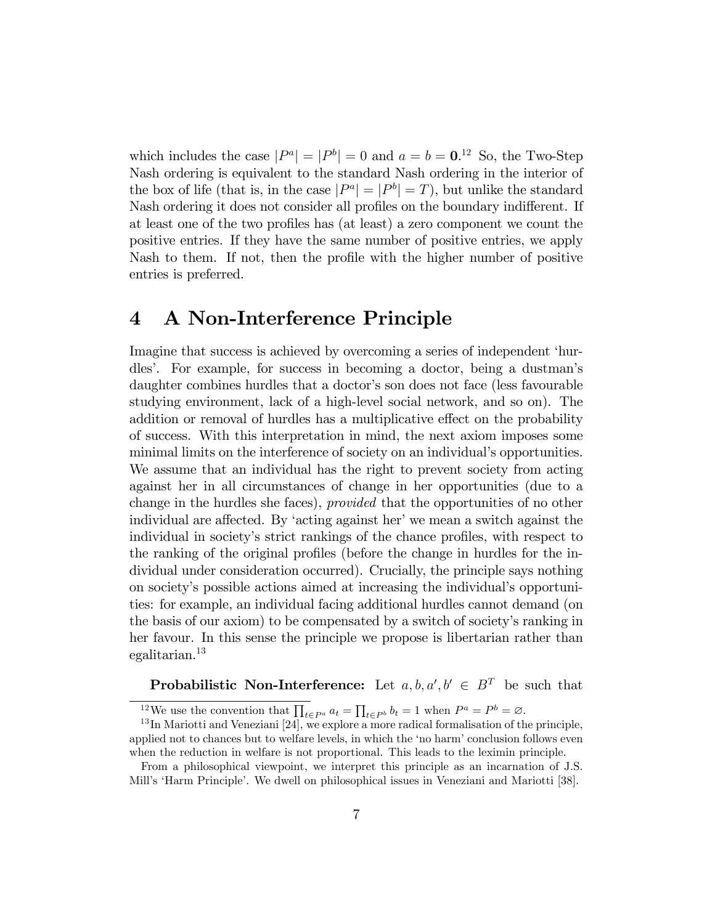which includes the case  $|P^a| = |P^b| = 0$  and  $a = b = 0.12$  So, the Two-Step Nash ordering is equivalent to the standard Nash ordering in the interior of the box of life (that is, in the case  $|P^a| = |P^b| = T$ ), but unlike the standard Nash ordering it does not consider all profiles on the boundary indifferent. If at least one of the two profiles has (at least) a zero component we count the positive entries. If they have the same number of positive entries, we apply Nash to them. If not, then the profile with the higher number of positive entries is preferred.

### 4 A Non-Interference Principle

Imagine that success is achieved by overcoming a series of independent 'hurdlesí. For example, for success in becoming a doctor, being a dustmanís daughter combines hurdles that a doctor's son does not face (less favourable studying environment, lack of a high-level social network, and so on). The addition or removal of hurdles has a multiplicative effect on the probability of success. With this interpretation in mind, the next axiom imposes some minimal limits on the interference of society on an individual's opportunities. We assume that an individual has the right to prevent society from acting against her in all circumstances of change in her opportunities (due to a change in the hurdles she faces), provided that the opportunities of no other individual are affected. By 'acting against her' we mean a switch against the individual in society's strict rankings of the chance profiles, with respect to the ranking of the original profiles (before the change in hurdles for the individual under consideration occurred). Crucially, the principle says nothing on society's possible actions aimed at increasing the individual's opportunities: for example, an individual facing additional hurdles cannot demand (on the basis of our axiom) to be compensated by a switch of societyís ranking in her favour. In this sense the principle we propose is libertarian rather than egalitarian.<sup>13</sup>

**Probabilistic Non-Interference:** Let  $a, b, a', b' \in B^T$  be such that

<sup>&</sup>lt;sup>12</sup>We use the convention that  $\prod_{t \in P^a} a_t = \prod_{t \in P^b} b_t = 1$  when  $P^a = P^b = \emptyset$ .

<sup>&</sup>lt;sup>13</sup>In Mariotti and Veneziani [24], we explore a more radical formalisation of the principle, applied not to chances but to welfare levels, in which the 'no harm' conclusion follows even when the reduction in welfare is not proportional. This leads to the leximin principle.

From a philosophical viewpoint, we interpret this principle as an incarnation of J.S. Mill's 'Harm Principle'. We dwell on philosophical issues in Veneziani and Mariotti [38].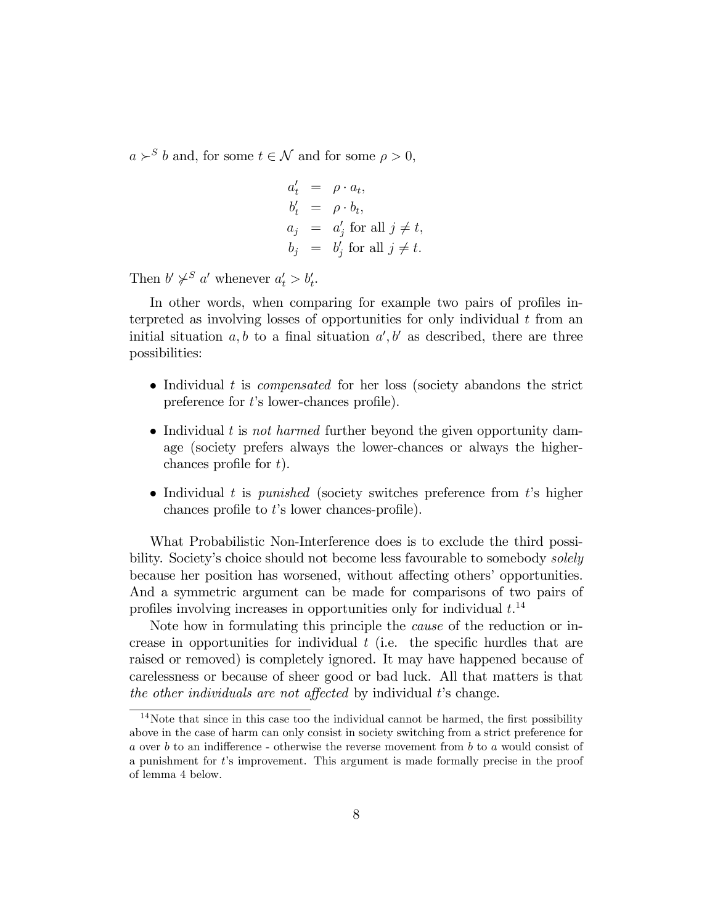$a \succ^S b$  and, for some  $t \in \mathcal{N}$  and for some  $\rho > 0$ ,

$$
a'_t = \rho \cdot a_t,
$$
  
\n
$$
b'_t = \rho \cdot b_t,
$$
  
\n
$$
a_j = a'_j \text{ for all } j \neq t,
$$
  
\n
$$
b_j = b'_j \text{ for all } j \neq t.
$$

Then  $b' \not\succ^S a'$  whenever  $a'_t > b'_t$ .

In other words, when comparing for example two pairs of profiles interpreted as involving losses of opportunities for only individual  $t$  from an initial situation  $a, b$  to a final situation  $a', b'$  as described, there are three possibilities:

- Individual  $t$  is *compensated* for her loss (society abandons the strict preference for  $t$ 's lower-chances profile).
- Individual t is not harmed further beyond the given opportunity damage (society prefers always the lower-chances or always the higherchances profile for  $t$ ).
- Individual t is *punished* (society switches preference from t's higher chances profile to  $t$ 's lower chances-profile).

What Probabilistic Non-Interference does is to exclude the third possibility. Society's choice should not become less favourable to somebody *solely* because her position has worsened, without affecting others' opportunities. And a symmetric argument can be made for comparisons of two pairs of profiles involving increases in opportunities only for individual  $t^{14}$ .

Note how in formulating this principle the cause of the reduction or increase in opportunities for individual  $t$  (i.e. the specific hurdles that are raised or removed) is completely ignored. It may have happened because of carelessness or because of sheer good or bad luck. All that matters is that the other individuals are not affected by individual  $t$ 's change.

 $14$ Note that since in this case too the individual cannot be harmed, the first possibility above in the case of harm can only consist in society switching from a strict preference for a over b to an indifference - otherwise the reverse movement from b to a would consist of a punishment for  $t$ 's improvement. This argument is made formally precise in the proof of lemma 4 below.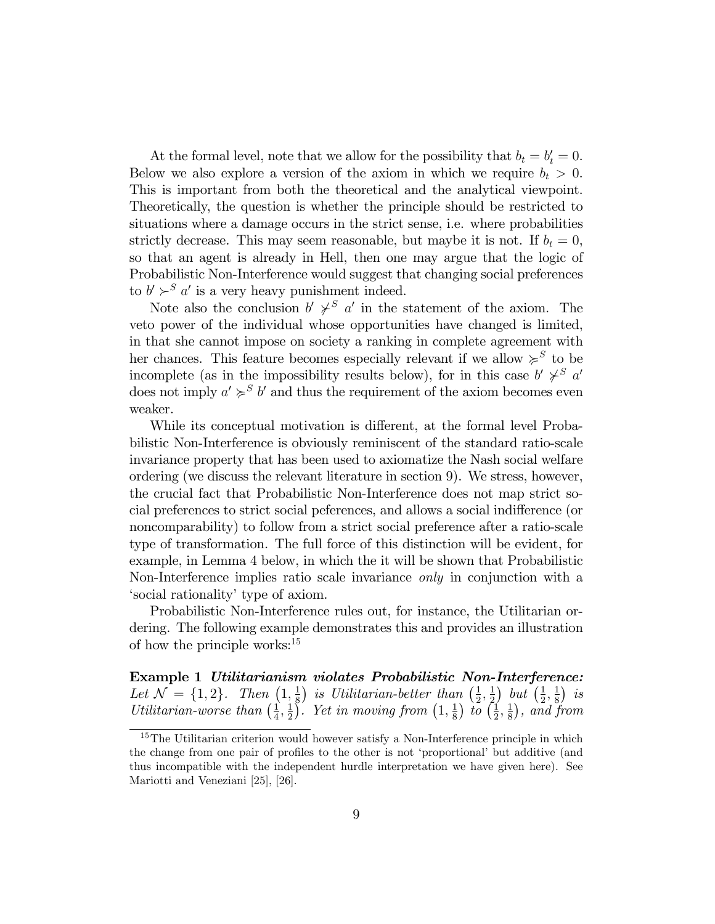At the formal level, note that we allow for the possibility that  $b_t = b'_t = 0$ . Below we also explore a version of the axiom in which we require  $b_t > 0$ . This is important from both the theoretical and the analytical viewpoint. Theoretically, the question is whether the principle should be restricted to situations where a damage occurs in the strict sense, i.e. where probabilities strictly decrease. This may seem reasonable, but maybe it is not. If  $b_t = 0$ , so that an agent is already in Hell, then one may argue that the logic of Probabilistic Non-Interference would suggest that changing social preferences to  $b' \succ^S a'$  is a very heavy punishment indeed.

Note also the conclusion  $b' \not\succ^S a'$  in the statement of the axiom. The veto power of the individual whose opportunities have changed is limited, in that she cannot impose on society a ranking in complete agreement with her chances. This feature becomes especially relevant if we allow  $\succcurlyeq^S$  to be incomplete (as in the impossibility results below), for in this case  $b' \not\succ^S a'$ does not imply  $a' \succ s' b'$  and thus the requirement of the axiom becomes even weaker.

While its conceptual motivation is different, at the formal level Probabilistic Non-Interference is obviously reminiscent of the standard ratio-scale invariance property that has been used to axiomatize the Nash social welfare ordering (we discuss the relevant literature in section 9). We stress, however, the crucial fact that Probabilistic Non-Interference does not map strict social preferences to strict social peferences, and allows a social indifference (or noncomparability) to follow from a strict social preference after a ratio-scale type of transformation. The full force of this distinction will be evident, for example, in Lemma 4 below, in which the it will be shown that Probabilistic Non-Interference implies ratio scale invariance only in conjunction with a social rationality' type of axiom.

Probabilistic Non-Interference rules out, for instance, the Utilitarian ordering. The following example demonstrates this and provides an illustration of how the principle works:<sup>15</sup>

Example 1 Utilitarianism violates Probabilistic Non-Interference: Let  $\mathcal{N} = \{1, 2\}$ . Then  $\left(1, \frac{1}{8}\right)$  $\frac{1}{8}$ ) is Utilitarian-better than  $\left(\frac{1}{2}\right)$  $\frac{1}{2},\frac{1}{2}$  $\frac{1}{2}$  but  $\left(\frac{1}{2}\right)$  $\frac{1}{2}, \frac{1}{8}$  $\frac{1}{8}$ ) is Utilitarian-worse than  $\left(\frac{1}{4}\right)$  $\frac{1}{4},\frac{1}{2}$  $\frac{1}{2}$ . Yet in moving from  $\left(1, \frac{1}{8}\right)$  $(\frac{1}{8})$  to  $(\frac{1}{2})$  $\frac{1}{2},\frac{1}{8}$  $\frac{1}{8}$ , and from

<sup>&</sup>lt;sup>15</sup>The Utilitarian criterion would however satisfy a Non-Interference principle in which the change from one pair of profiles to the other is not 'proportional' but additive (and thus incompatible with the independent hurdle interpretation we have given here). See Mariotti and Veneziani [25], [26].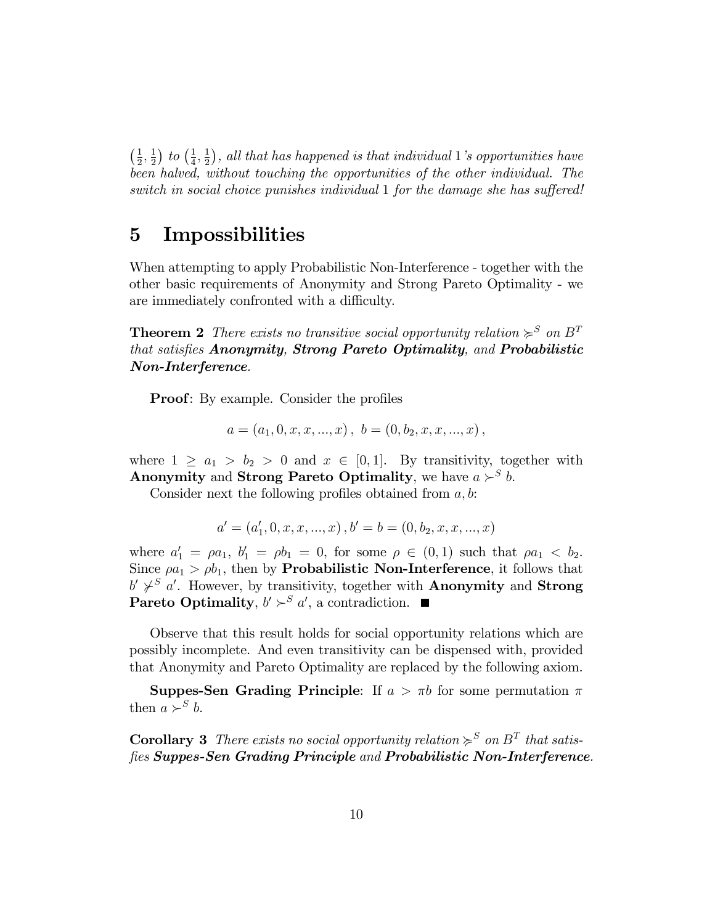$\frac{1}{2}$  $\frac{1}{2}, \frac{1}{2}$  $\frac{1}{2}$ ) to  $\left(\frac{1}{4}\right)$  $\frac{1}{4}, \frac{1}{2}$  $(\frac{1}{2})$ , all that has happened is that individual 1's opportunities have been halved, without touching the opportunities of the other individual. The switch in social choice punishes individual  $1$  for the damage she has suffered!

### 5 Impossibilities

When attempting to apply Probabilistic Non-Interference - together with the other basic requirements of Anonymity and Strong Pareto Optimality - we are immediately confronted with a difficulty.

**Theorem 2** There exists no transitive social opportunity relation  $\succcurlyeq^S$  on  $B^T$ that satisfies Anonymity, Strong Pareto Optimality, and Probabilistic Non-Interference.

**Proof:** By example. Consider the profiles

$$
a=(a_1,0,x,x,...,x), b=(0,b_2,x,x,...,x),
$$

where  $1 \ge a_1 > b_2 > 0$  and  $x \in [0, 1]$ . By transitivity, together with Anonymity and Strong Pareto Optimality, we have  $a \succ^S b$ .

Consider next the following profiles obtained from  $a, b$ :

$$
a' = (a'_1, 0, x, x, ..., x), b' = b = (0, b_2, x, x, ..., x)
$$

where  $a'_1 = \rho a_1, b'_1 = \rho b_1 = 0$ , for some  $\rho \in (0, 1)$  such that  $\rho a_1 < b_2$ . Since  $\varphi a_1 > \varphi b_1$ , then by **Probabilistic Non-Interference**, it follows that  $b' \not\sim^S a'$ . However, by transitivity, together with **Anonymity** and **Strong** Pareto Optimality,  $b' \succ^S a'$ , a contradiction.

Observe that this result holds for social opportunity relations which are possibly incomplete. And even transitivity can be dispensed with, provided that Anonymity and Pareto Optimality are replaced by the following axiom.

**Suppes-Sen Grading Principle:** If  $a > \pi b$  for some permutation  $\pi$ then  $a \succ^S b$ .

**Corollary 3** There exists no social opportunity relation  $\succcurlyeq^S$  on  $B^T$  that satisfies Suppes-Sen Grading Principle and Probabilistic Non-Interference.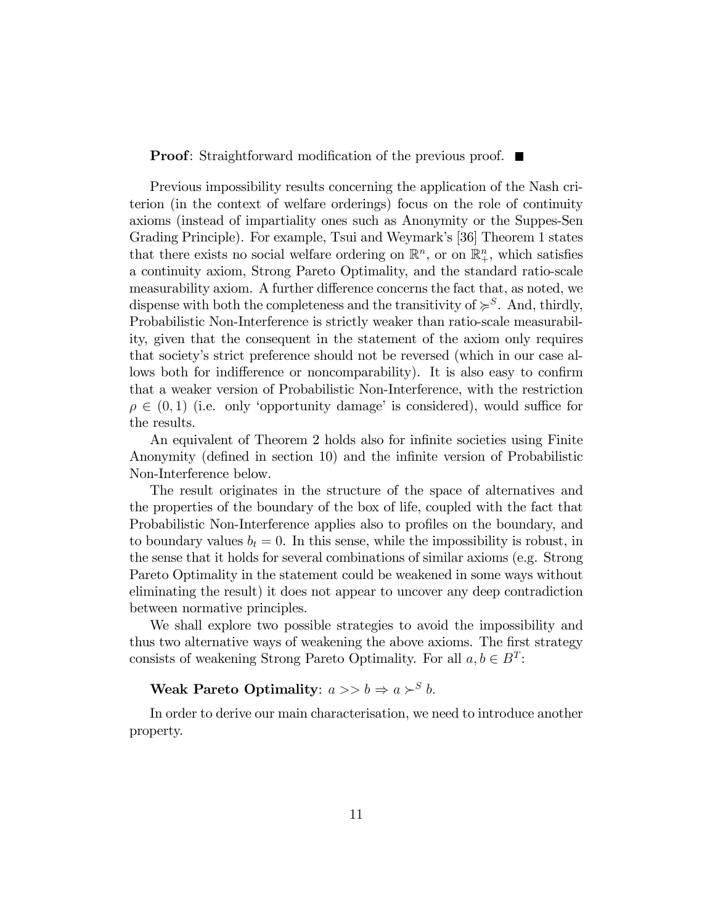**Proof:** Straightforward modification of the previous proof.  $\blacksquare$ 

Previous impossibility results concerning the application of the Nash criterion (in the context of welfare orderings) focus on the role of continuity axioms (instead of impartiality ones such as Anonymity or the Suppes-Sen Grading Principle). For example, Tsui and Weymark's [36] Theorem 1 states that there exists no social welfare ordering on  $\mathbb{R}^n$ , or on  $\mathbb{R}^n_+$ , which satisfies a continuity axiom, Strong Pareto Optimality, and the standard ratio-scale measurability axiom. A further difference concerns the fact that, as noted, we dispense with both the completeness and the transitivity of  $\succcurlyeq^S$ . And, thirdly, Probabilistic Non-Interference is strictly weaker than ratio-scale measurability, given that the consequent in the statement of the axiom only requires that society's strict preference should not be reversed (which in our case allows both for indifference or noncomparability). It is also easy to confirm that a weaker version of Probabilistic Non-Interference, with the restriction  $\rho \in (0,1)$  (i.e. only 'opportunity damage' is considered), would suffice for the results.

An equivalent of Theorem 2 holds also for infinite societies using Finite Anonymity (defined in section 10) and the infinite version of Probabilistic Non-Interference below.

The result originates in the structure of the space of alternatives and the properties of the boundary of the box of life, coupled with the fact that Probabilistic Non-Interference applies also to profiles on the boundary, and to boundary values  $b_t = 0$ . In this sense, while the impossibility is robust, in the sense that it holds for several combinations of similar axioms (e.g. Strong Pareto Optimality in the statement could be weakened in some ways without eliminating the result) it does not appear to uncover any deep contradiction between normative principles.

We shall explore two possible strategies to avoid the impossibility and thus two alternative ways of weakening the above axioms. The first strategy consists of weakening Strong Pareto Optimality. For all  $a, b \in B<sup>T</sup>$ :

**Weak Pareto Optimality:**  $a >> b \Rightarrow a > b$ .

In order to derive our main characterisation, we need to introduce another property.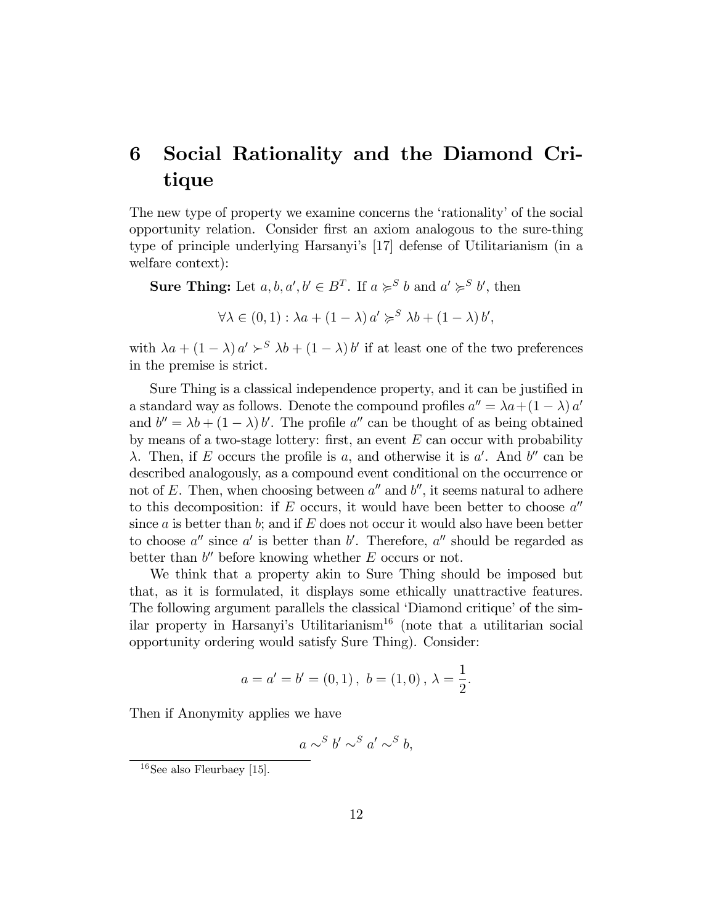#### 6 Social Rationality and the Diamond Critique

The new type of property we examine concerns the 'rationality' of the social opportunity relation. Consider first an axiom analogous to the sure-thing type of principle underlying Harsanyi's [17] defense of Utilitarianism (in a welfare context):

**Sure Thing:** Let  $a, b, a', b' \in B^T$ . If  $a \geq^S b$  and  $a' \geq^S b'$ , then

 $\forall \lambda \in (0,1) : \lambda a + (1-\lambda) a' \geq^S \lambda b + (1-\lambda) b'.$ 

with  $\lambda a + (1 - \lambda) a' \succ^S \lambda b + (1 - \lambda) b'$  if at least one of the two preferences in the premise is strict.

Sure Thing is a classical independence property, and it can be justified in a standard way as follows. Denote the compound profiles  $a'' = \lambda a + (1 - \lambda) a'$ and  $b'' = \lambda b + (1 - \lambda) b'$ . The profile a'' can be thought of as being obtained by means of a two-stage lottery: first, an event  $E$  can occur with probability  $\lambda$ . Then, if E occurs the profile is a, and otherwise it is a'. And b'' can be described analogously, as a compound event conditional on the occurrence or not of E. Then, when choosing between  $a''$  and  $b''$ , it seems natural to adhere to this decomposition: if E occurs, it would have been better to choose  $a''$ since a is better than b; and if  $E$  does not occur it would also have been better to choose  $a''$  since  $a'$  is better than  $b'$ . Therefore,  $a''$  should be regarded as better than  $b''$  before knowing whether  $E$  occurs or not.

We think that a property akin to Sure Thing should be imposed but that, as it is formulated, it displays some ethically unattractive features. The following argument parallels the classical 'Diamond critique' of the similar property in Harsanyi's Utilitarianism<sup>16</sup> (note that a utilitarian social opportunity ordering would satisfy Sure Thing). Consider:

$$
a = a' = b' = (0, 1), b = (1, 0), \lambda = \frac{1}{2}.
$$

Then if Anonymity applies we have

$$
a \sim^S b' \sim^S a' \sim^S b,
$$

 $16$ See also Fleurbaey [15].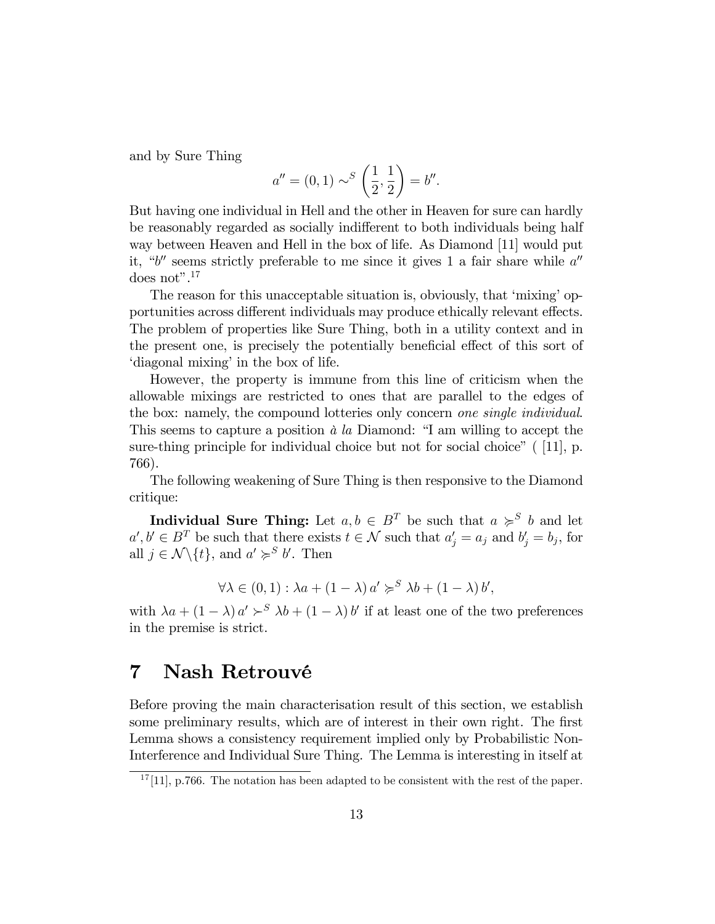and by Sure Thing

$$
a'' = (0, 1) \sim^{S} \left(\frac{1}{2}, \frac{1}{2}\right) = b''.
$$

But having one individual in Hell and the other in Heaven for sure can hardly be reasonably regarded as socially indifferent to both individuals being half way between Heaven and Hell in the box of life. As Diamond [11] would put it, "b" seems strictly preferable to me since it gives 1 a fair share while  $a''$ does not". $17$ 

The reason for this unacceptable situation is, obviously, that 'mixing' opportunities across different individuals may produce ethically relevant effects. The problem of properties like Sure Thing, both in a utility context and in the present one, is precisely the potentially beneficial effect of this sort of 'diagonal mixing' in the box of life.

However, the property is immune from this line of criticism when the allowable mixings are restricted to ones that are parallel to the edges of the box: namely, the compound lotteries only concern one single individual. This seems to capture a position  $\dot{a}$  la Diamond: "I am willing to accept the sure-thing principle for individual choice but not for social choice"  $(11]$ , p. 766).

The following weakening of Sure Thing is then responsive to the Diamond critique:

**Individual Sure Thing:** Let  $a, b \in B^T$  be such that  $a \geq^S b$  and let  $a', b' \in B^T$  be such that there exists  $t \in \mathcal{N}$  such that  $a'_j = a_j$  and  $b'_j = b_j$ , for all  $j \in \mathcal{N} \backslash \{t\}$ , and  $a' \geqslant^S b'$ . Then

$$
\forall \lambda \in (0,1) : \lambda a + (1 - \lambda) a' \succcurlyeq^S \lambda b + (1 - \lambda) b',
$$

with  $\lambda a + (1 - \lambda) a' \succ^S \lambda b + (1 - \lambda) b'$  if at least one of the two preferences in the premise is strict.

#### Nash Retrouvé 7

Before proving the main characterisation result of this section, we establish some preliminary results, which are of interest in their own right. The first Lemma shows a consistency requirement implied only by Probabilistic Non-Interference and Individual Sure Thing. The Lemma is interesting in itself at

 $17$ [11], p.766. The notation has been adapted to be consistent with the rest of the paper.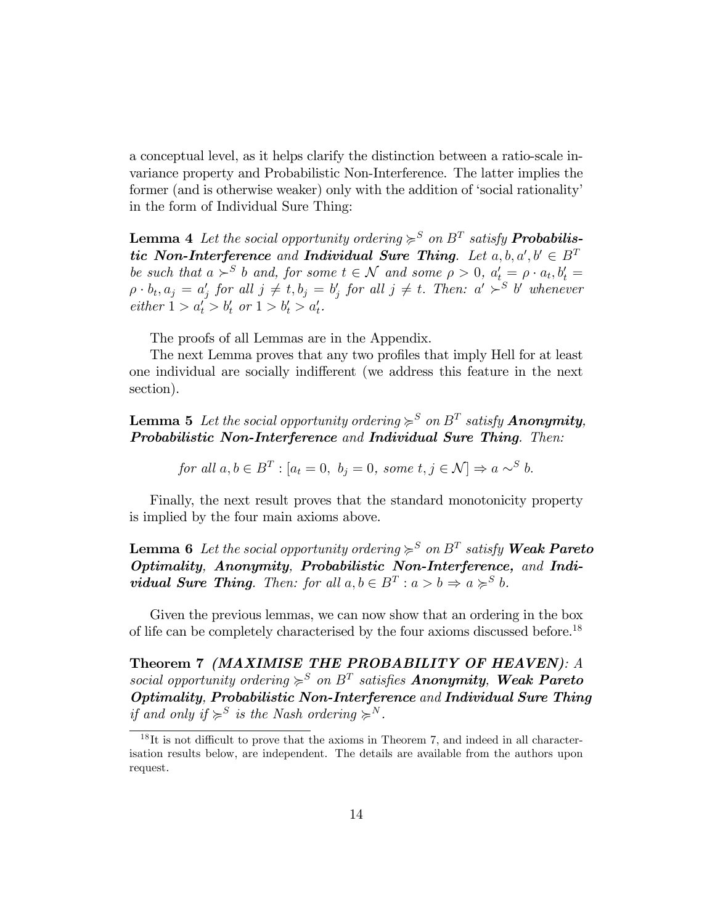a conceptual level, as it helps clarify the distinction between a ratio-scale invariance property and Probabilistic Non-Interference. The latter implies the former (and is otherwise weaker) only with the addition of 'social rationality' in the form of Individual Sure Thing:

**Lemma 4** Let the social opportunity ordering  $\succcurlyeq^S$  on  $B^T$  satisfy **Probabilis**tic Non-Interference and Individual Sure Thing. Let  $a, b, a', b' \in B^T$ be such that  $a >^S b$  and, for some  $t \in \mathcal{N}$  and some  $\rho > 0$ ,  $a'_t = \rho \cdot a_t, b'_t =$  $\rho \cdot b_t, a_j = a'_j$  for all  $j \neq t, b_j = b'_j$  for all  $j \neq t$ . Then:  $a' \succ^S b'$  whenever  $either 1 > a'_t > b'_t \text{ or } 1 > b'_t > a'_t.$ 

The proofs of all Lemmas are in the Appendix.

The next Lemma proves that any two profiles that imply Hell for at least one individual are socially indifferent (we address this feature in the next section).

**Lemma 5** Let the social opportunity ordering  $\succcurlyeq^S$  on  $B^T$  satisfy **Anonymity**, Probabilistic Non-Interference and Individual Sure Thing. Then:

for all  $a, b \in B^T$ :  $[a_t = 0, b_j = 0,$  some  $t, j \in \mathcal{N}] \Rightarrow a \sim^S b$ .

Finally, the next result proves that the standard monotonicity property is implied by the four main axioms above.

**Lemma 6** Let the social opportunity ordering  $\succcurlyeq^S$  on  $B^T$  satisfy **Weak Pareto** Optimality, Anonymity, Probabilistic Non-Interference, and Indi**vidual Sure Thing**. Then: for all  $a, b \in B^T : a > b \Rightarrow a \succcurlyeq^S b$ .

Given the previous lemmas, we can now show that an ordering in the box of life can be completely characterised by the four axioms discussed before.<sup>18</sup>

Theorem 7 (MAXIMISE THE PROBABILITY OF HEAVEN): A social opportunity ordering  $\succcurlyeq^S$  on  $B^T$  satisfies **Anonymity, Weak Pareto** Optimality, Probabilistic Non-Interference and Individual Sure Thing if and only if  $\succcurlyeq^S$  is the Nash ordering  $\succcurlyeq^N$ .

 $18$ It is not difficult to prove that the axioms in Theorem 7, and indeed in all characterisation results below, are independent. The details are available from the authors upon request.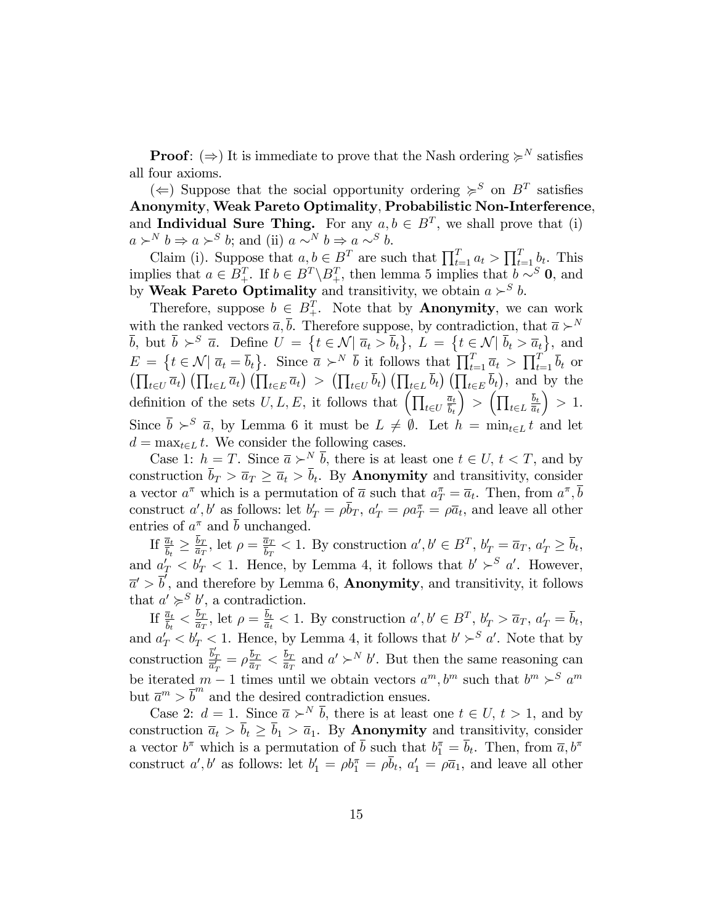**Proof:**  $(\Rightarrow)$  It is immediate to prove that the Nash ordering  $\succcurlyeq^N$  satisfies all four axioms.

( $\Leftarrow$ ) Suppose that the social opportunity ordering  $\succcurlyeq^S$  on  $B^T$  satisfies Anonymity, Weak Pareto Optimality, Probabilistic Non-Interference, and **Individual Sure Thing.** For any  $a, b \in B^T$ , we shall prove that (i)  $a \succ^N b \Rightarrow a \succ^S b$ ; and (ii)  $a \sim^N b \Rightarrow a \sim^S b$ .

Claim (i). Suppose that  $a, b \in B^T$  are such that  $\prod_{t=1}^T a_t > \prod_{t=1}^T b_t$ . This implies that  $a \in B_+^T$ . If  $b \in B^T \backslash B_+^T$ , then lemma 5 implies that  $b \sim^S \mathbf{0}$ , and by Weak Pareto Optimality and transitivity, we obtain  $a \succ^S b$ .

Therefore, suppose  $b \in B_+^T$ . Note that by **Anonymity**, we can work with the ranked vectors  $\overline{a}, \overline{b}$ . Therefore suppose, by contradiction, that  $\overline{a} \succ^N$  $\overline{b}$ , but  $\overline{b} \succ^S \overline{a}$ . Define  $U = \{t \in \mathcal{N} \mid \overline{a}_t > \overline{b}_t\}, L = \{t \in \mathcal{N} \mid \overline{b}_t > \overline{a}_t\},\$  and  $E = \{t \in \mathcal{N} | \overline{a}_t = \overline{b}_t\}.$  Since  $\overline{a} \succ^N \overline{b}$  it follows that  $\prod_{t=1}^T \overline{a}_t > \prod_{t=1}^T \overline{b}_t$  or  $\left(\prod_{t\in U}\overline{a}_{t}\right)\left(\prod_{t\in L}\overline{a}_{t}\right)\left(\prod_{t\in E}\overline{a}_{t}\right) > \left(\prod_{t\in U}\overline{b}_{t}\right)\left(\prod_{t\in L}\overline{b}_{t}\right)\left(\prod_{t\in E}\overline{b}_{t}\right)$ , and by the definition of the sets  $U, L, E$ , it follows that  $\left(\prod_{t \in U} \right)$  $\overline{a}_t$  $b_t$  $\Big) > \Big( \prod_{t \in L}$  $b_t$  $\overline{a}_t$  $\big) > 1.$ Since  $\bar{b} \succ^S \bar{a}$ , by Lemma 6 it must be  $L \neq \emptyset$ . Let  $h = \min_{t \in L} t$  and let  $d = \max_{t \in L} t$ . We consider the following cases.

Case 1:  $h = T$ . Since  $\overline{a} \succ^N \overline{b}$ , there is at least one  $t \in U$ ,  $t < T$ , and by construction  $b_T > \overline{a}_T \geq \overline{a}_t > b_t$ . By **Anonymity** and transitivity, consider a vector  $a^{\pi}$  which is a permutation of  $\bar{a}$  such that  $a^{\pi}_{T} = \bar{a}_{t}$ . Then, from  $a^{\pi}, \bar{b}$ construct a', b' as follows: let  $b'_T = \rho \overline{b}_T$ ,  $a'_T = \rho a_T^{\pi} = \rho \overline{a}_t$ , and leave all other entries of  $a^{\pi}$  and  $\bar{b}$  unchanged.

If  $\frac{\overline{a}_t}{\overline{b}_t} \geq \frac{b_T}{\overline{a}_T}$  $\frac{b_T}{\overline{a}_T}$ , let  $\rho = \frac{\overline{a}_T}{\overline{b}_T}$  $\frac{\overline{a}_T}{\overline{b}_T}$  < 1. By construction  $a', b' \in B^T$ ,  $b'_T = \overline{a}_T$ ,  $a'_T \ge \overline{b}_t$ , and  $a'_T < b'_T < 1$ . Hence, by Lemma 4, it follows that  $b' >^S a'$ . However,  $\overline{a}' > \overline{b}'$ , and therefore by Lemma 6, **Anonymity**, and transitivity, it follows that  $a' \geqslant^S b'$ , a contradiction.

If  $\frac{\overline{a}_t}{\overline{b}_t} < \frac{b_T}{\overline{a}_T}$  $\frac{b_T}{\overline{a}_T}$ , let  $\rho = \frac{b_t}{\overline{a}_t}$  $\frac{b_t}{\overline{a}_t} < 1$ . By construction  $a', b' \in B^T$ ,  $b'_T > \overline{a}_T$ ,  $a'_T = \overline{b}_t$ , and  $a'_T < b'_T < 1$ . Hence, by Lemma 4, it follows that  $b' >^S a'$ . Note that by construction  $\frac{\vec{b}_T'}{\vec{a}_T} = \rho \frac{\vec{b}_T}{\vec{a}_T}$ be iterated  $m-1$  times until we obtain vectors  $a^m, b^m$  such that  $b^m >^S a^m$  $\frac{b_T}{\overline{a}_T} < \frac{b_T}{\overline{a}_T}$  $\frac{b_T}{\overline{a}_T}$  and  $a' \succ^N b'$ . But then the same reasoning can but  $\overline{a}^m > \overline{b}^m$  and the desired contradiction ensues.

Case 2:  $d = 1$ . Since  $\overline{a} \succ^N \overline{b}$ , there is at least one  $t \in U, t > 1$ , and by construction  $\overline{a}_t > \overline{b}_t \geq \overline{b}_1 > \overline{a}_1$ . By **Anonymity** and transitivity, consider a vector  $b^{\pi}$  which is a permutation of  $\bar{b}$  such that  $b_1^{\pi} = \bar{b}_t$ . Then, from  $\bar{a}, b^{\pi}$ construct a', b' as follows: let  $b'_1 = \rho b_1^{\pi} = \rho \overline{b}_t$ ,  $a'_1 = \rho \overline{a}_1$ , and leave all other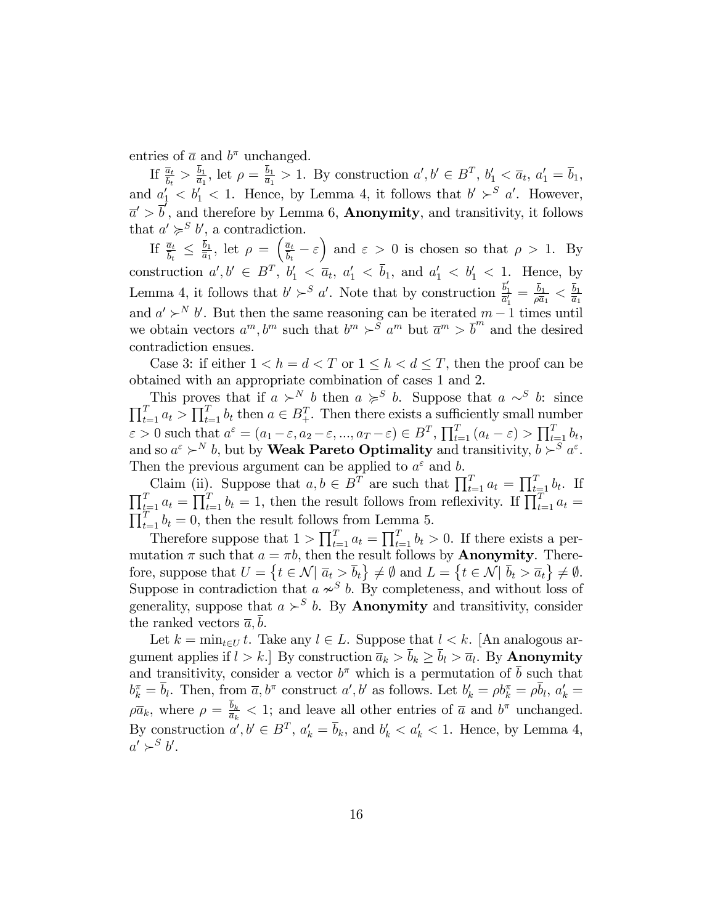entries of  $\bar{a}$  and  $b^{\pi}$  unchanged.

If  $\frac{\overline{a}_t}{\overline{b}_t} > \frac{b_1}{\overline{a}_1}$  $\frac{b_1}{\overline{a}_1}$ , let  $\rho = \frac{b_1}{\overline{a}_1}$  $\frac{b_1}{\overline{a}_1}$  > 1. By construction  $a', b' \in B^T$ ,  $b'_1 < \overline{a}_t$ ,  $a'_1 = \overline{b}_1$ , and  $a'_1 < b'_1 < 1$ . Hence, by Lemma 4, it follows that  $b' >^S a'$ . However,  $\overline{a}' > \overline{b}'$ , and therefore by Lemma 6, **Anonymity**, and transitivity, it follows that  $a' \geqslant^S b'$ , a contradiction.

If  $\frac{\overline{a}_t}{\overline{b}_t} \leq \frac{b_1}{\overline{a}_1}$  $\frac{\bar{b}_1}{\bar{a}_1}$ , let  $\rho = \left(\frac{\bar{a}_t}{\bar{b}_t}\right)$  $\frac{\overline{a}_t}{\overline{b}_t} - \varepsilon$  and  $\varepsilon > 0$  is chosen so that  $\rho > 1$ . By construction  $a', b' \in B^T$ ,  $b'_1 < \overline{a}_t$ ,  $a'_1 < \overline{b}_1$ , and  $a'_1 < b'_1 < 1$ . Hence, by Lemma 4, it follows that  $b' \succ^S a'$ . Note that by construction  $\frac{\overline{b}'_1}{\overline{a}'_1} = \frac{\overline{b}_1}{\rho \overline{a}}$  $\frac{b_1}{\rho\overline{a}_1}<\frac{b_1}{\overline{a}_1}$  $\overline{a}_1$ and  $a' \succ^N b'$ . But then the same reasoning can be iterated  $m-1$  times until we obtain vectors  $a^m, b^m$  such that  $b^m \succ s^m a^m$  but  $\overline{a}^m > \overline{b}^m$  and the desired contradiction ensues.

Case 3: if either  $1 < h = d < T$  or  $1 \leq h < d \leq T$ , then the proof can be obtained with an appropriate combination of cases 1 and 2.

This proves that if  $a \succ^N b$  then  $a \succ^S b$ . Suppose that  $a \sim^S b$ : since  $\prod_{t=1}^{T} a_t > \prod_{t=1}^{T} b_t$  then  $a \in B_+^T$ . Then there exists a sufficiently small number  $\varepsilon > 0$  such that  $a^{\varepsilon} = (a_1 - \varepsilon, a_2 - \varepsilon, ..., a_T - \varepsilon) \in B^T$ ,  $\prod_{t=1}^T (a_t - \varepsilon) > \prod_{t=1}^T b_t$ , and so  $a^{\varepsilon} \succ^N b$ , but by **Weak Pareto Optimality** and transitivity,  $b \succ^S a^{\varepsilon}$ . Then the previous argument can be applied to  $a^{\varepsilon}$  and b.

Claim (ii). Suppose that  $a, b \in B^T$  are such that  $\prod_{t=1}^T a_t = \prod_{t=1}^T b_t$ . If  $\prod_{t=1}^{T} a_t = \prod_{t=1}^{T} b_t = 1$ , then the result follows from reflexivity. If  $\prod_{t=1}^{T} a_t = \prod_{t=1}^{T} b_t = 0$ , then the result follows from Lemma 5.  $\prod_{t=1}^{T} b_t = 0$ , then the result follows from Lemma 5.

Therefore suppose that  $1 > \prod_{t=1}^{T} a_t = \prod_{t=1}^{T} b_t > 0$ . If there exists a permutation  $\pi$  such that  $a = \pi b$ , then the result follows by **Anonymity**. Therefore, suppose that  $U = \{t \in \mathcal{N} | \overline{a}_t > \overline{b}_t\} \neq \emptyset \text{ and } L = \{t \in \mathcal{N} | \overline{b}_t > \overline{a}_t\} \neq \emptyset.$ Suppose in contradiction that  $a \nsim^{S} b$ . By completeness, and without loss of generality, suppose that  $a \succ^S b$ . By **Anonymity** and transitivity, consider the ranked vectors  $\bar{a}$ , *b*.

Let  $k = \min_{t \in U} t$ . Take any  $l \in L$ . Suppose that  $l < k$ . [An analogous argument applies if  $l > k$ . By construction  $\overline{a}_k > b_k \geq b_l > \overline{a}_l$ . By **Anonymity** and transitivity, consider a vector  $b^{\pi}$  which is a permutation of  $\bar{b}$  such that  $b_k^{\pi} = \bar{b}_l$ . Then, from  $\bar{a}, b^{\pi}$  construct  $a', b'$  as follows. Let  $b'_k = \rho b_k^{\pi} = \rho \bar{b}_l$ ,  $a'_k =$  $\rho \overline{a}_k$ , where  $\rho = \frac{b_k}{\overline{a}_k}$  $\frac{b_k}{\overline{a}_k}$  < 1; and leave all other entries of  $\overline{a}$  and  $b^{\pi}$  unchanged. By construction  $a', b' \in B^T$ ,  $a'_k = \overline{b}_k$ , and  $b'_k < a'_k < 1$ . Hence, by Lemma 4,  $a' \succ^S b'.$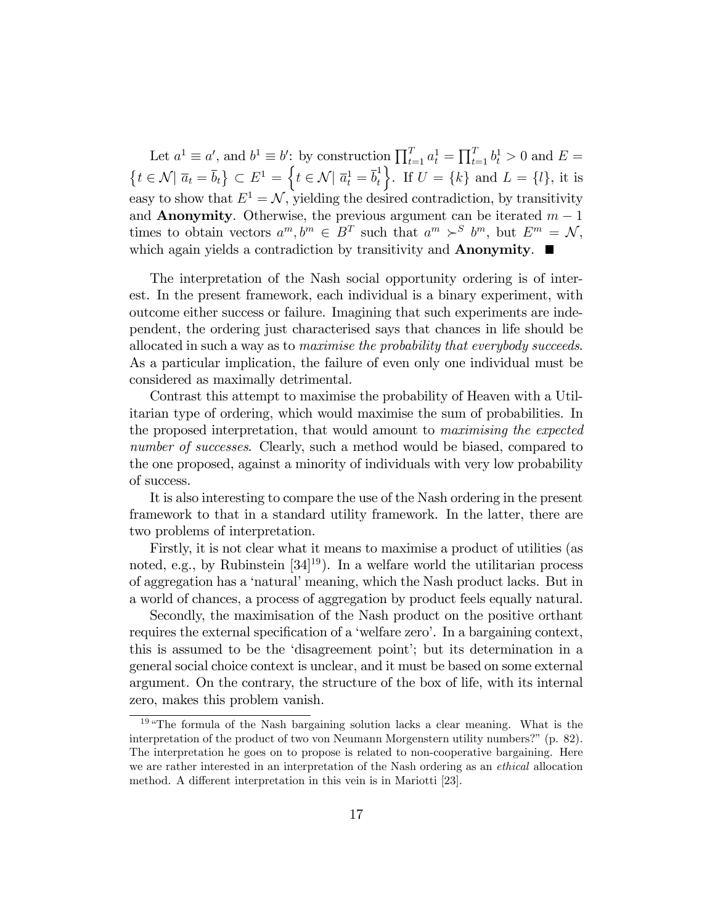Let  $a^1 \equiv a'$ , and  $b^1 \equiv b'$ : by construction  $\prod_{t=1}^T a_t^1 = \prod_{t=1}^T b_t^1 > 0$  and  $E =$  $\left\{ t \in \mathcal{N} | \; \overline{a}_t = \overline{b}_t \right\} \subset E^1 = \left\{ t \in \mathcal{N} | \; \overline{a}_t^1 = \overline{b}_t^1 \right\}$ t Fig. 1. If  $U = \{k\}$  and  $L = \{l\}$ , it is easy to show that  $E^1 = \mathcal{N}$ , yielding the desired contradiction, by transitivity and **Anonymity**. Otherwise, the previous argument can be iterated  $m - 1$ times to obtain vectors  $a^m, b^m \in B^T$  such that  $a^m \succ^S b^m$ , but  $E^m = \mathcal{N}$ , which again yields a contradiction by transitivity and **Anonymity**.  $\blacksquare$ 

The interpretation of the Nash social opportunity ordering is of interest. In the present framework, each individual is a binary experiment, with outcome either success or failure. Imagining that such experiments are independent, the ordering just characterised says that chances in life should be allocated in such a way as to maximise the probability that everybody succeeds. As a particular implication, the failure of even only one individual must be considered as maximally detrimental.

Contrast this attempt to maximise the probability of Heaven with a Utilitarian type of ordering, which would maximise the sum of probabilities. In the proposed interpretation, that would amount to maximising the expected number of successes. Clearly, such a method would be biased, compared to the one proposed, against a minority of individuals with very low probability of success.

It is also interesting to compare the use of the Nash ordering in the present framework to that in a standard utility framework. In the latter, there are two problems of interpretation.

Firstly, it is not clear what it means to maximise a product of utilities (as noted, e.g., by Rubinstein  $[34]^{19}$ ). In a welfare world the utilitarian process of aggregation has a 'natural' meaning, which the Nash product lacks. But in a world of chances, a process of aggregation by product feels equally natural.

Secondly, the maximisation of the Nash product on the positive orthant requires the external specification of a 'welfare zero'. In a bargaining context, this is assumed to be the 'disagreement point'; but its determination in a general social choice context is unclear, and it must be based on some external argument. On the contrary, the structure of the box of life, with its internal zero, makes this problem vanish.

 $19\text{ }\text{``The formula of the Nash bargaining solution lacks a clear meaning. What is the}$ interpretation of the product of two von Neumann Morgenstern utility numbers?"  $(p. 82)$ . The interpretation he goes on to propose is related to non-cooperative bargaining. Here we are rather interested in an interpretation of the Nash ordering as an ethical allocation method. A different interpretation in this vein is in Mariotti [23].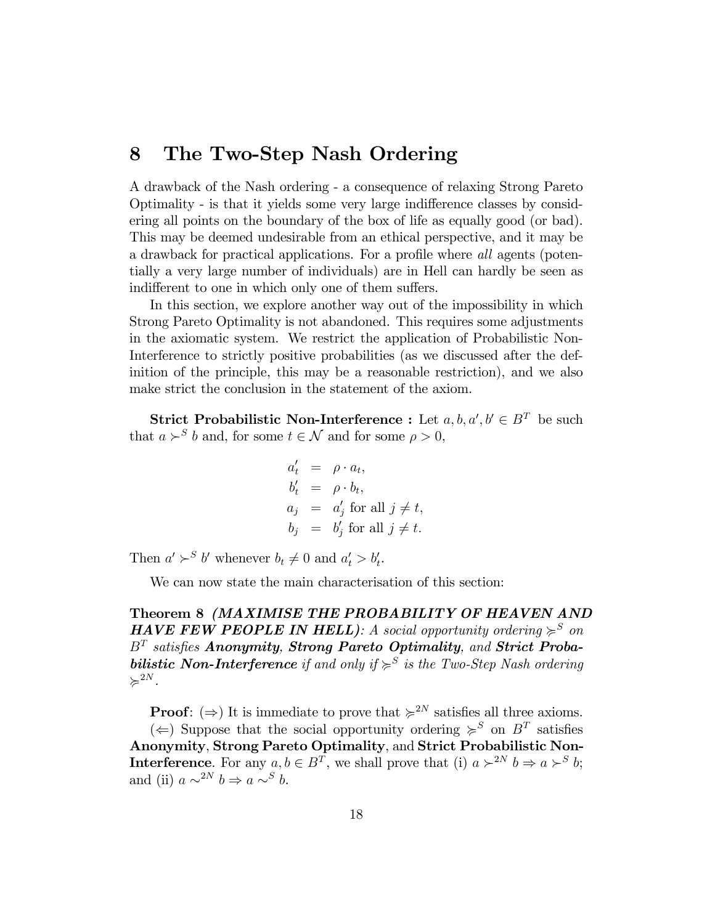### 8 The Two-Step Nash Ordering

A drawback of the Nash ordering - a consequence of relaxing Strong Pareto Optimality - is that it yields some very large indi§erence classes by considering all points on the boundary of the box of life as equally good (or bad). This may be deemed undesirable from an ethical perspective, and it may be a drawback for practical applications. For a profile where all agents (potentially a very large number of individuals) are in Hell can hardly be seen as indifferent to one in which only one of them suffers.

In this section, we explore another way out of the impossibility in which Strong Pareto Optimality is not abandoned. This requires some adjustments in the axiomatic system. We restrict the application of Probabilistic Non-Interference to strictly positive probabilities (as we discussed after the definition of the principle, this may be a reasonable restriction), and we also make strict the conclusion in the statement of the axiom.

**Strict Probabilistic Non-Interference :** Let  $a, b, a', b' \in B^T$  be such that  $a \succ^S b$  and, for some  $t \in \mathcal{N}$  and for some  $\rho > 0$ ,

$$
a'_t = \rho \cdot a_t,
$$
  
\n
$$
b'_t = \rho \cdot b_t,
$$
  
\n
$$
a_j = a'_j \text{ for all } j \neq t,
$$
  
\n
$$
b_j = b'_j \text{ for all } j \neq t.
$$

Then  $a' \succ^S b'$  whenever  $b_t \neq 0$  and  $a'_t > b'_t$ .

We can now state the main characterisation of this section:

Theorem 8 (MAXIMISE THE PROBABILITY OF HEAVEN AND **HAVE FEW PEOPLE IN HELL**): A social opportunity ordering  $\geq^S$  on  $B^T$  satisfies Anonymity, Strong Pareto Optimality, and Strict Proba**bilistic Non-Interference** if and only if  $\geq S$  is the Two-Step Nash ordering  $\succcurlyeq^{2N}$ .

**Proof:**  $(\Rightarrow)$  It is immediate to prove that  $\succcurlyeq^{2N}$  satisfies all three axioms.

( $\Leftarrow$ ) Suppose that the social opportunity ordering  $\succcurlyeq^S$  on  $B^T$  satisfies Anonymity, Strong Pareto Optimality, and Strict Probabilistic Non-**Interference**. For any  $a, b \in B^T$ , we shall prove that (i)  $a \succ^{2N} b \Rightarrow a \succ^S b$ ; and (ii)  $a \sim^{2N} b \Rightarrow a \sim^{S} b$ .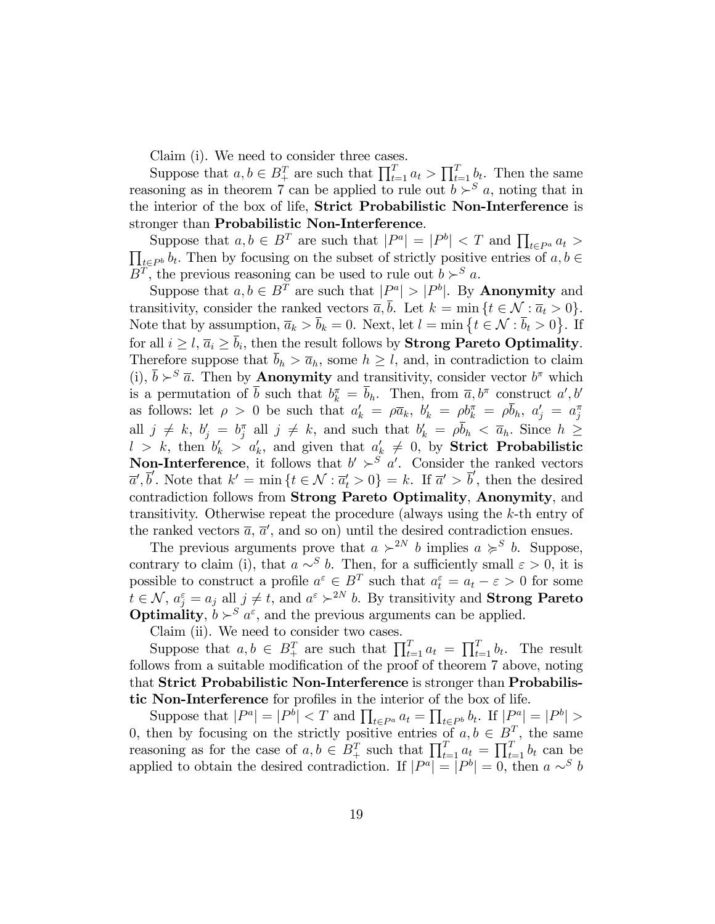Claim (i). We need to consider three cases.

Suppose that  $a, b \in B_+^T$  are such that  $\prod_{t=1}^T a_t > \prod_{t=1}^T b_t$ . Then the same reasoning as in theorem 7 can be applied to rule out  $b > s$  a, noting that in the interior of the box of life, Strict Probabilistic Non-Interference is stronger than Probabilistic Non-Interference.

Suppose that  $a, b \in B^T$  are such that  $|P^a| = |P^b| < T$  and  $\prod_{t \in P^a} a_t >$  $\prod_{t\in P^b} b_t$ . Then by focusing on the subset of strictly positive entries of  $a, b \in \mathbb{R}$  $B<sup>T</sup>$ , the previous reasoning can be used to rule out  $b >^S a$ .

Suppose that  $a, b \in B^T$  are such that  $|P^a| > |P^b|$ . By **Anonymity** and transitivity, consider the ranked vectors  $\overline{a}, \overline{b}$ . Let  $k = \min \{t \in \mathcal{N} : \overline{a}_t > 0\}.$ Note that by assumption,  $\overline{a}_k > \overline{b}_k = 0$ . Next, let  $l = \min \{ t \in \mathcal{N} : \overline{b}_t > 0 \}$ . If for all  $i \geq l$ ,  $\overline{a}_i \geq b_i$ , then the result follows by **Strong Pareto Optimality.** Therefore suppose that  $\bar{b}_h > \bar{a}_h$ , some  $h \geq l$ , and, in contradiction to claim (i),  $\overline{b} \succ^S \overline{a}$ . Then by **Anonymity** and transitivity, consider vector  $b^{\pi}$  which is a permutation of  $\bar{b}$  such that  $b_k^{\pi} = \bar{b}_h$ . Then, from  $\bar{a}, b^{\pi}$  construct  $a', b'$ as follows: let  $\rho > 0$  be such that  $a'_k = \rho \overline{a}_k$ ,  $b'_k = \rho b_k^{\pi} = \rho \overline{b}_h$ ,  $a'_j = a_j^{\pi}$ all  $j \neq k$ ,  $b'_j = b_j^{\pi}$  all  $j \neq k$ , and such that  $b'_k = \rho \overline{b}_k < \overline{a}_k$ . Since  $h \geq$  $l > k$ , then  $b'_k > a'_k$ , and given that  $a'_k \neq 0$ , by **Strict Probabilistic Non-Interference**, it follows that  $b' \succ^S a'$ . Consider the ranked vectors  $\overline{a}', \overline{b}'$ . Note that  $k' = \min \{t \in \mathcal{N} : \overline{a}'_t > 0\} = k$ . If  $\overline{a}' > \overline{b}'$ , then the desired contradiction follows from Strong Pareto Optimality, Anonymity, and transitivity. Otherwise repeat the procedure (always using the k-th entry of the ranked vectors  $\bar{a}$ ,  $\bar{a}'$ , and so on) until the desired contradiction ensues.

The previous arguments prove that  $a \succ^{2N} b$  implies  $a \succ^S b$ . Suppose, contrary to claim (i), that  $a \sim^{S} b$ . Then, for a sufficiently small  $\varepsilon > 0$ , it is possible to construct a profile  $a^{\varepsilon} \in B^T$  such that  $a_t^{\varepsilon} = a_t - \varepsilon > 0$  for some  $t \in \mathcal{N}$ ,  $a_j^{\varepsilon} = a_j$  all  $j \neq t$ , and  $a^{\varepsilon} \succ^{2N} b$ . By transitivity and **Strong Pareto Optimality**,  $b \succ^S a^{\varepsilon}$ , and the previous arguments can be applied.

Claim (ii). We need to consider two cases.

Suppose that  $a, b \in B_{+}^{T}$  are such that  $\prod_{t=1}^{T} a_t = \prod_{t=1}^{T} b_t$ . The result follows from a suitable modification of the proof of theorem 7 above, noting that Strict Probabilistic Non-Interference is stronger than Probabilistic Non-Interference for profiles in the interior of the box of life.

Suppose that  $|P^a| = |P^b| < T$  and  $\prod_{t \in P^a} a_t = \prod_{t \in P^b} b_t$ . If  $|P^a| = |P^b| >$ 0, then by focusing on the strictly positive entries of  $a, b \in B^T$ , the same reasoning as for the case of  $a, b \in B_+^T$  such that  $\prod_{t=1}^T a_t = \prod_{t=1}^T b_t$  can be applied to obtain the desired contradiction. If  $|P^a| = |P^b| = 0$ , then  $a \sim^S b$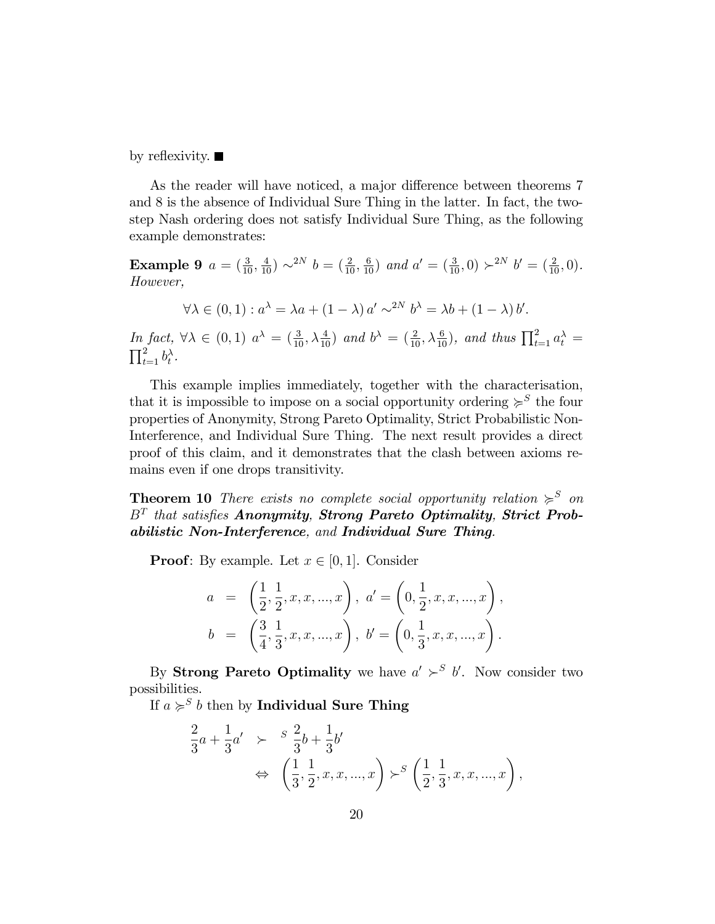by reflexivity.  $\blacksquare$ 

As the reader will have noticed, a major difference between theorems 7 and 8 is the absence of Individual Sure Thing in the latter. In fact, the twostep Nash ordering does not satisfy Individual Sure Thing, as the following example demonstrates:

**Example 9**  $a = (\frac{3}{10}, \frac{4}{10}) \sim^{2N} b = (\frac{2}{10}, \frac{6}{10})$  and  $a' = (\frac{3}{10}, 0) \succ^{2N} b' = (\frac{2}{10}, 0)$ . However,

 $\forall \lambda \in (0,1) : a^{\lambda} = \lambda a + (1-\lambda) a' \sim^{2N} b^{\lambda} = \lambda b + (1-\lambda) b'.$ 

In fact,  $\forall \lambda \in (0,1)$   $a^{\lambda} = \left(\frac{3}{10}, \lambda \frac{4}{10}\right)$  and  $b^{\lambda} = \left(\frac{2}{10}, \lambda \frac{6}{10}\right)$ , and thus  $\prod_{t=1}^{2} a_t^{\lambda} = \prod_{i=1}^{2} b_t^{\lambda}$ .  $_{t=1}^{2}b_{t}^{\lambda}$ .

This example implies immediately, together with the characterisation, that it is impossible to impose on a social opportunity ordering  $\succeq^S$  the four properties of Anonymity, Strong Pareto Optimality, Strict Probabilistic Non-Interference, and Individual Sure Thing. The next result provides a direct proof of this claim, and it demonstrates that the clash between axioms remains even if one drops transitivity.

**Theorem 10** There exists no complete social opportunity relation  $\succcurlyeq^S$  on  $B<sup>T</sup>$  that satisfies Anonymity, Strong Pareto Optimality, Strict Probabilistic Non-Interference, and Individual Sure Thing.

**Proof:** By example. Let  $x \in [0, 1]$ . Consider

$$
a = \left(\frac{1}{2}, \frac{1}{2}, x, x, ..., x\right), \quad a' = \left(0, \frac{1}{2}, x, x, ..., x\right),
$$

$$
b = \left(\frac{3}{4}, \frac{1}{3}, x, x, ..., x\right), \quad b' = \left(0, \frac{1}{3}, x, x, ..., x\right).
$$

By **Strong Pareto Optimality** we have  $a' \succ^S b'$ . Now consider two possibilities.

If  $a \succcurlyeq^S b$  then by Individual Sure Thing

$$
\frac{2}{3}a + \frac{1}{3}a' \geq \frac{s}{3} \frac{2}{3}b + \frac{1}{3}b'
$$
  
\n
$$
\Leftrightarrow \left(\frac{1}{3}, \frac{1}{2}, x, x, ..., x\right) \succ^S \left(\frac{1}{2}, \frac{1}{3}, x, x, ..., x\right),
$$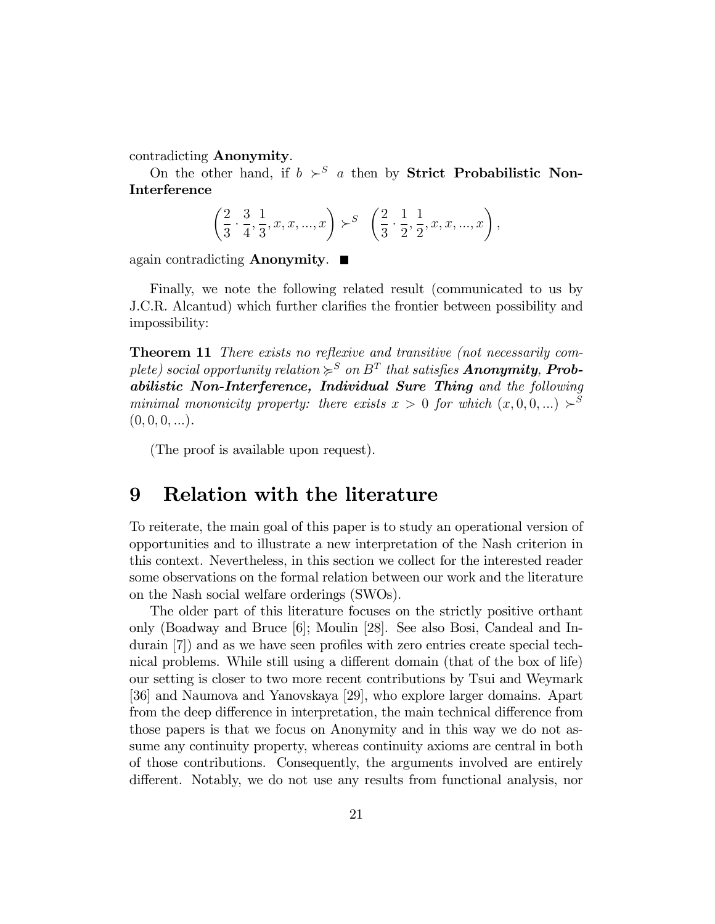contradicting Anonymity.

On the other hand, if  $b >^S a$  then by **Strict Probabilistic Non-**Interference

$$
\left(\frac{2}{3}\cdot\frac{3}{4},\frac{1}{3},x,x,...,x\right)\succ^S\ \left(\frac{2}{3}\cdot\frac{1}{2},\frac{1}{2},x,x,...,x\right),
$$

again contradicting **Anonymity**.  $\blacksquare$ 

Finally, we note the following related result (communicated to us by J.C.R. Alcantud) which further clarifies the frontier between possibility and impossibility:

Theorem 11 There exists no reflexive and transitive (not necessarily complete) social opportunity relation  $\succcurlyeq^S$  on  $B^T$  that satisfies **Anonymity, Prob**abilistic Non-Interference, Individual Sure Thing and the following minimal mononicity property: there exists  $x > 0$  for which  $(x, 0, 0, ...) \succ^S$  $(0, 0, 0, ...)$ .

(The proof is available upon request).

#### 9 Relation with the literature

To reiterate, the main goal of this paper is to study an operational version of opportunities and to illustrate a new interpretation of the Nash criterion in this context. Nevertheless, in this section we collect for the interested reader some observations on the formal relation between our work and the literature on the Nash social welfare orderings (SWOs).

The older part of this literature focuses on the strictly positive orthant only (Boadway and Bruce [6]; Moulin [28]. See also Bosi, Candeal and Indurain  $|7|$ ) and as we have seen profiles with zero entries create special technical problems. While still using a different domain (that of the box of life) our setting is closer to two more recent contributions by Tsui and Weymark [36] and Naumova and Yanovskaya [29], who explore larger domains. Apart from the deep difference in interpretation, the main technical difference from those papers is that we focus on Anonymity and in this way we do not assume any continuity property, whereas continuity axioms are central in both of those contributions. Consequently, the arguments involved are entirely different. Notably, we do not use any results from functional analysis, nor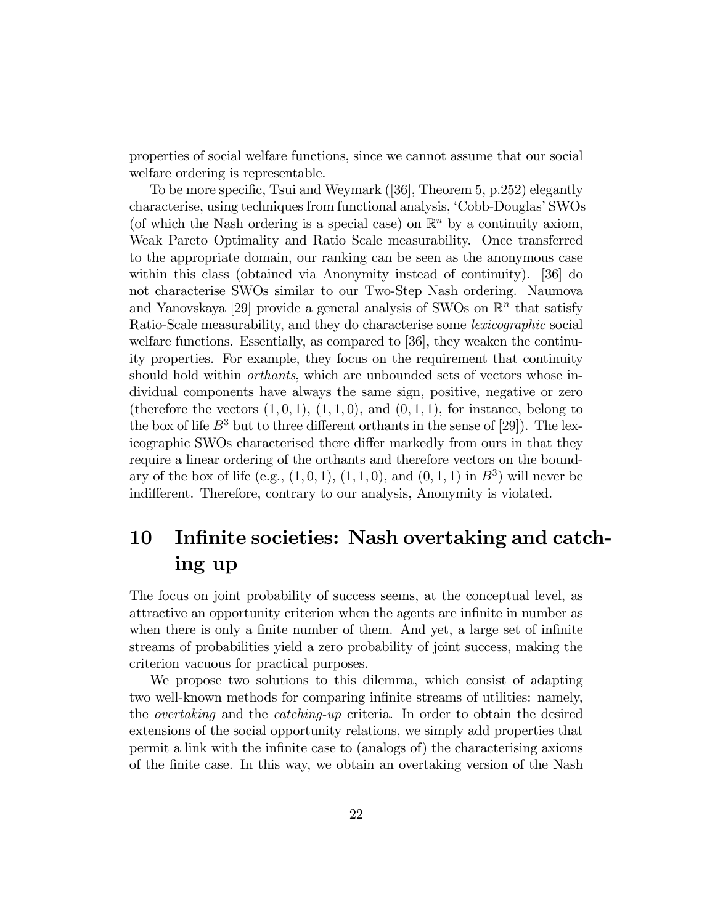properties of social welfare functions, since we cannot assume that our social welfare ordering is representable.

To be more specific, Tsui and Weymark  $(36)$ , Theorem 5, p.252) elegantly characterise, using techniques from functional analysis, 'Cobb-Douglas' SWOs (of which the Nash ordering is a special case) on  $\mathbb{R}^n$  by a continuity axiom, Weak Pareto Optimality and Ratio Scale measurability. Once transferred to the appropriate domain, our ranking can be seen as the anonymous case within this class (obtained via Anonymity instead of continuity). [36] do not characterise SWOs similar to our Two-Step Nash ordering. Naumova and Yanovskaya [29] provide a general analysis of SWOs on  $\mathbb{R}^n$  that satisfy Ratio-Scale measurability, and they do characterise some lexicographic social welfare functions. Essentially, as compared to [36], they weaken the continuity properties. For example, they focus on the requirement that continuity should hold within *orthants*, which are unbounded sets of vectors whose individual components have always the same sign, positive, negative or zero (therefore the vectors  $(1,0,1), (1,1,0),$  and  $(0,1,1),$  for instance, belong to the box of life  $B^3$  but to three different orthants in the sense of [29]). The lexicographic SWOs characterised there differ markedly from ours in that they require a linear ordering of the orthants and therefore vectors on the boundary of the box of life (e.g.,  $(1,0,1)$ ,  $(1,1,0)$ , and  $(0,1,1)$  in  $B<sup>3</sup>$ ) will never be indifferent. Therefore, contrary to our analysis, Anonymity is violated.

## 10 Infinite societies: Nash overtaking and catching up

The focus on joint probability of success seems, at the conceptual level, as attractive an opportunity criterion when the agents are infinite in number as when there is only a finite number of them. And yet, a large set of infinite streams of probabilities yield a zero probability of joint success, making the criterion vacuous for practical purposes.

We propose two solutions to this dilemma, which consist of adapting two well-known methods for comparing infinite streams of utilities: namely, the overtaking and the catching-up criteria. In order to obtain the desired extensions of the social opportunity relations, we simply add properties that permit a link with the inÖnite case to (analogs of) the characterising axioms of the Önite case. In this way, we obtain an overtaking version of the Nash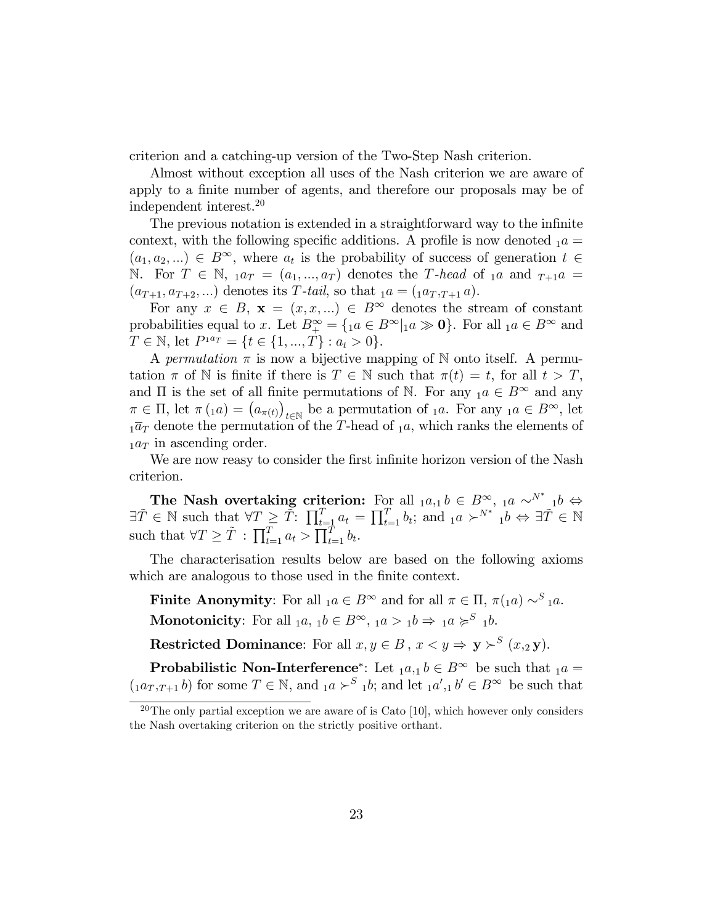criterion and a catching-up version of the Two-Step Nash criterion.

Almost without exception all uses of the Nash criterion we are aware of apply to a finite number of agents, and therefore our proposals may be of independent interest.<sup>20</sup>

The previous notation is extended in a straightforward way to the infinite context, with the following specific additions. A profile is now denoted  $_1a =$  $(a_1, a_2, ...) \in B^{\infty}$ , where  $a_t$  is the probability of success of generation  $t \in$ N. For  $T \in \mathbb{N}$ ,  $_1a_T = (a_1, ..., a_T)$  denotes the T-head of  $_1a$  and  $_{T+1}a$  =  $(a_{T+1}, a_{T+2}, ...)$  denotes its T-tail, so that  $a = (1a_T, a_{T+1}, a_T)$ .

For any  $x \in B$ ,  $\mathbf{x} = (x, x, ...) \in B^{\infty}$  denotes the stream of constant probabilities equal to x. Let  $B^{\infty}_{+} = \{ a \in B^{\infty} | a \gg \mathbf{0} \}$ . For all  $a \in B^{\infty}$  and  $T \in \mathbb{N}$ , let  $P^{1a_T} = \{t \in \{1, ..., T\} : a_t > 0\}.$ 

A permutation  $\pi$  is now a bijective mapping of N onto itself. A permutation  $\pi$  of N is finite if there is  $T \in \mathbb{N}$  such that  $\pi(t) = t$ , for all  $t > T$ , and  $\Pi$  is the set of all finite permutations of N. For any  $_1a \in B^{\infty}$  and any  $\pi \in \Pi$ , let  $\pi(\Lambda a) = (a_{\pi(t)})$  $t \in \mathbb{N}$  be a permutation of <sub>1</sub>a. For any <sub>1</sub>a  $\in B^{\infty}$ , let  $1\overline{a}_T$  denote the permutation of the T-head of  $1a$ , which ranks the elements of  $_1a_T$  in ascending order.

We are now reasy to consider the first infinite horizon version of the Nash criterion.

The Nash overtaking criterion: For all  $a_{1}b \in B^{\infty}_{\infty}$ ,  $a \sim^{N^*} 1b \Leftrightarrow$  $\exists \tilde{T} \in \mathbb{N} \text{ such that } \forall T \geq \tilde{T}: \prod_{t=1}^{T} a_t = \prod_{t=1}^{T} b_t; \text{ and }_{1}a \succ^{N^*} {}_{1}b \Leftrightarrow \exists \tilde{T} \in \mathbb{N}$ such that  $\forall T \geq \tilde{T} : \prod_{t=1}^T a_t > \prod_{t=1}^T b_t$ .

The characterisation results below are based on the following axioms which are analogous to those used in the finite context.

**Finite Anonymity**: For all  $_1a \in B^{\infty}$  and for all  $\pi \in \Pi$ ,  $\pi(_{1}a) \sim^{S} {}_{1}a$ . **Monotonicity**: For all  $_1a, 1b \in B^{\infty}, 1a > 1b \Rightarrow 1a \succ s^S 1b$ .

**Restricted Dominance**: For all  $x, y \in B$ ,  $x < y \Rightarrow y >^S (x, y)$ .

**Probabilistic Non-Interference**<sup>\*</sup>: Let  $_1a,_1b \in B^{\infty}$  be such that  $_1a =$  $(a_{T,T+1}b)$  for some  $T \in \mathbb{N}$ , and  $a \succ^S a b$ ; and let  $a', b' \in B^{\infty}$  be such that

 $20$ The only partial exception we are aware of is Cato [10], which however only considers the Nash overtaking criterion on the strictly positive orthant.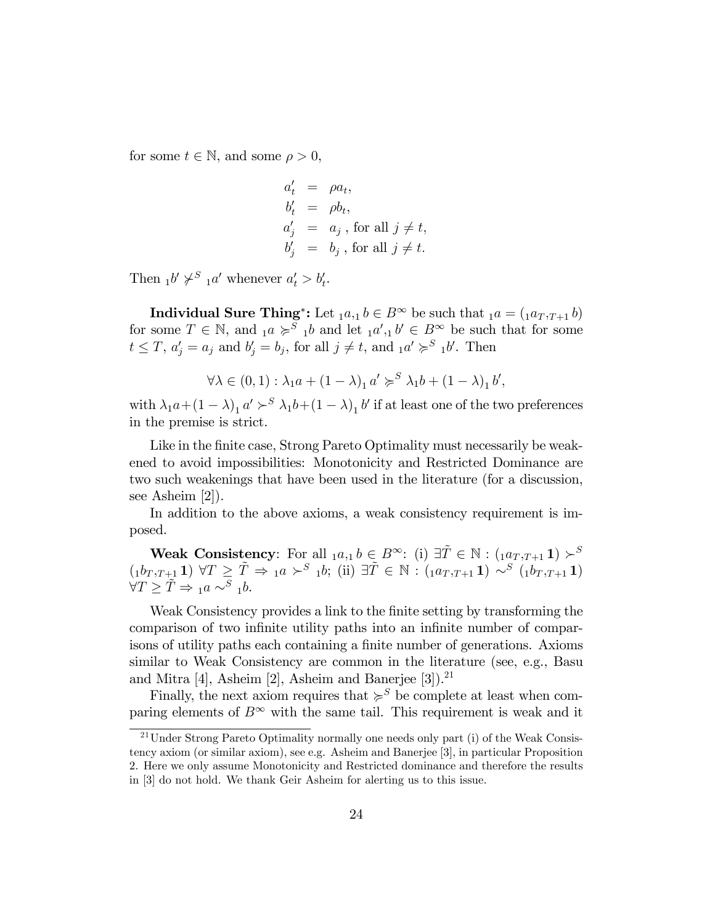for some  $t \in \mathbb{N}$ , and some  $\rho > 0$ ,

$$
a'_t = \rho a_t,
$$
  
\n
$$
b'_t = \rho b_t,
$$
  
\n
$$
a'_j = a_j, \text{ for all } j \neq t,
$$
  
\n
$$
b'_j = b_j, \text{ for all } j \neq t.
$$

Then  $_1b' \not\succ^S _1a'$  whenever  $a'_t > b'_t$ .

Individual Sure Thing<sup>\*</sup>: Let  $_1a,1 b \in B^{\infty}$  be such that  $_1a = (_1a_T, r+1 b)$ for some  $T \in \mathbb{N}$ , and  $_1a \geqslant^S_1b$  and let  $_1a', 1b' \in B^{\infty}$  be such that for some  $t \leq T$ ,  $a'_{j} = a_{j}$  and  $b'_{j} = b_{j}$ , for all  $j \neq t$ , and  $_{1}a' \geqslant^{S} {_{1}}b'$ . Then

$$
\forall \lambda \in (0,1) : \lambda_1 a + (1 - \lambda)_1 a' \succcurlyeq^S \lambda_1 b + (1 - \lambda)_1 b',
$$

with  $\lambda_1 a + (1 - \lambda)_1 a' \succ^S \lambda_1 b + (1 - \lambda)_1 b'$  if at least one of the two preferences in the premise is strict.

Like in the finite case, Strong Pareto Optimality must necessarily be weakened to avoid impossibilities: Monotonicity and Restricted Dominance are two such weakenings that have been used in the literature (for a discussion, see Asheim [2]).

In addition to the above axioms, a weak consistency requirement is imposed.

Weak Consistency: For all  $_1a_{,1}b \in B^{\infty}$ : (i)  $\exists \tilde{T} \in \mathbb{N} : (1a_{T}, T+1) \succ^S$  $(1b_T, T+1) \forall T \geq \tilde{T} \Rightarrow 1a \succ^S 1b;$  (ii)  $\exists \tilde{T} \in \mathbb{N} : (1a_T, T+1) \sim^S (1b_T, T+1)$  $\forall T \geq \tilde{T} \Rightarrow_{1} a \sim^{S} 1b.$ 

Weak Consistency provides a link to the finite setting by transforming the comparison of two infinite utility paths into an infinite number of comparisons of utility paths each containing a finite number of generations. Axioms similar to Weak Consistency are common in the literature (see, e.g., Basu and Mitra  $[4]$ , Asheim  $[2]$ , Asheim and Banerjee  $[3]$ .<sup>21</sup>

Finally, the next axiom requires that  $\geqslant^S$  be complete at least when comparing elements of  $B^{\infty}$  with the same tail. This requirement is weak and it

<sup>&</sup>lt;sup>21</sup>Under Strong Pareto Optimality normally one needs only part (i) of the Weak Consistency axiom (or similar axiom), see e.g. Asheim and Banerjee [3], in particular Proposition 2. Here we only assume Monotonicity and Restricted dominance and therefore the results in [3] do not hold. We thank Geir Asheim for alerting us to this issue.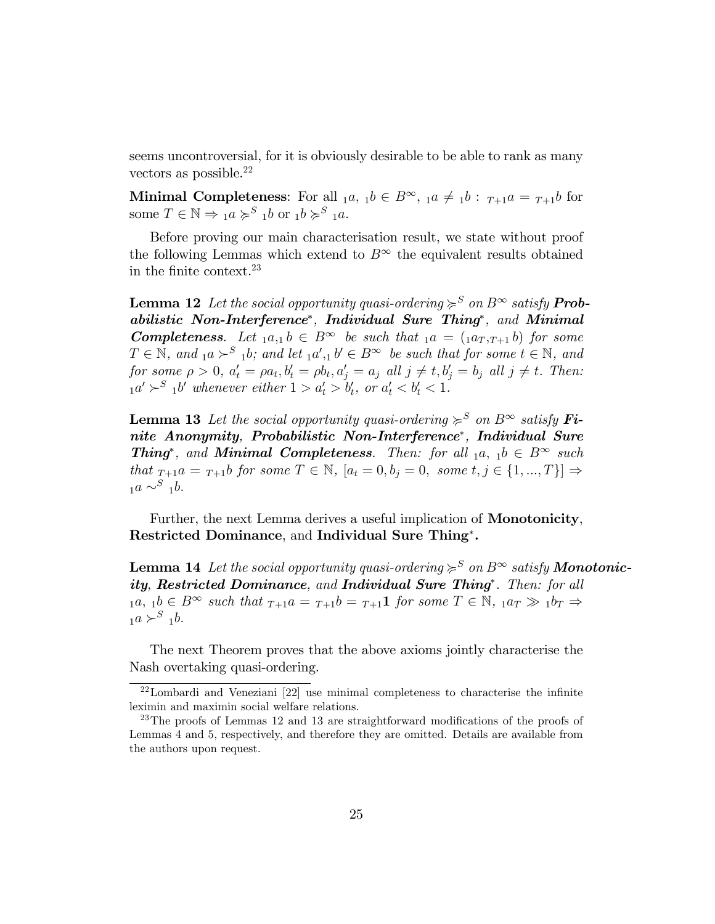seems uncontroversial, for it is obviously desirable to be able to rank as many vectors as possible. $^{22}$ 

Minimal Completeness: For all  $_1a, 1b \in B^{\infty}$ ,  $_1a \neq 1b : T_{+1}a = T_{+1}b$  for some  $T \in \mathbb{N} \Rightarrow a \succcurlyeq^S a b$  or  $a b \succcurlyeq^S a a$ .

Before proving our main characterisation result, we state without proof the following Lemmas which extend to  $B^{\infty}$  the equivalent results obtained in the finite context. $23$ 

**Lemma 12** Let the social opportunity quasi-ordering  $\geq^S$  on  $B^\infty$  satisfy **Prob**abilistic Non-Interference , Individual Sure Thing , and Minimal **Completeness.** Let  $_1a_{,1}b \in B^\infty$  be such that  $_1a = (1a_T, T+1 b)$  for some  $T \in \mathbb{N}$ , and  $_1a > S_1b$ , and let  $_1a', 1b' \in B^\infty$  be such that for some  $t \in \mathbb{N}$ , and for some  $\rho > 0$ ,  $a'_t = \rho a_t, b'_t = \rho b_t, a'_j = a_j$  all  $j \neq t, b'_j = b_j$  all  $j \neq t$ . Then:  $_1a' \succ^S_1b'$  whenever either  $1 > a'_t > b'_t$ , or  $a'_t < b'_t < 1$ .

**Lemma 13** Let the social opportunity quasi-ordering  $\geq^S$  on  $B^{\infty}$  satisfy Finite Anonymity, Probabilistic Non-Interference , Individual Sure **Thing**<sup>\*</sup>, and **Minimal Completeness**. Then: for all  $_1a, 1b \in B^{\infty}$  such that  $_{T+1}a = _{T+1}b$  for some  $T \in \mathbb{N}$ ,  $[a_t = 0, b_j = 0, \text{ some } t, j \in \{1, ..., T\}] \Rightarrow$  $_1a \sim^S_1b.$ 

Further, the next Lemma derives a useful implication of Monotonicity, Restricted Dominance, and Individual Sure Thing<sup>\*</sup>.

**Lemma 14** Let the social opportunity quasi-ordering  $\geq^{S}$  on  $B^{\infty}$  satisfy **Monotonic**ity, Restricted Dominance, and Individual Sure Thing\*. Then: for all  $_1a, 1b \in B^\infty$  such that  $_{T+1}a = _{T+1}b = _{T+1}1$  for some  $T \in \mathbb{N}$ ,  $_1a_T \gg 1b_T \Rightarrow$  $_1a \succ^S_1b.$ 

The next Theorem proves that the above axioms jointly characterise the Nash overtaking quasi-ordering.

 $^{22}$ Lombardi and Veneziani  $[22]$  use minimal completeness to characterise the infinite leximin and maximin social welfare relations.

 $^{23}$ The proofs of Lemmas 12 and 13 are straightforward modifications of the proofs of Lemmas 4 and 5, respectively, and therefore they are omitted. Details are available from the authors upon request.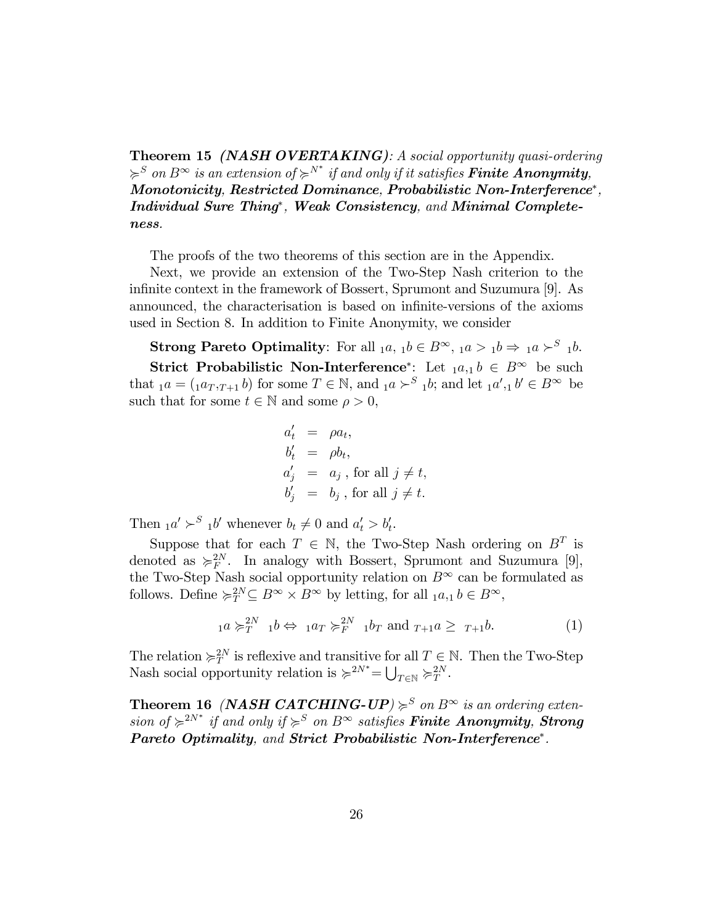**Theorem 15 (NASH OVERTAKING)**: A social opportunity quasi-ordering  $\varphi^S$  on  $B^\infty$  is an extension of  $\varphi^{N^*}$  if and only if it satisfies **Finite Anonymity**, Monotonicity, Restricted Dominance, Probabilistic Non-Interference\*, Individual Sure Thing<sup>\*</sup>, Weak Consistency, and Minimal Completeness.

The proofs of the two theorems of this section are in the Appendix.

Next, we provide an extension of the Two-Step Nash criterion to the infinite context in the framework of Bossert, Sprumont and Suzumura [9]. As announced, the characterisation is based on infinite-versions of the axioms used in Section 8. In addition to Finite Anonymity, we consider

**Strong Pareto Optimality**: For all  $_1a, 1b \in B^{\infty}, 1a > 1b \Rightarrow 1a > b$ .

**Strict Probabilistic Non-Interference**<sup>\*</sup>: Let  $_1a_{,1}b \in B^{\infty}$  be such that  $_1a = (_1a_T,_{T+1}b)$  for some  $T \in \mathbb{N}$ , and  $_1a \succ^S {}_1b$ ; and let  $_1a',_1b' \in B^\infty$  be such that for some  $t \in \mathbb{N}$  and some  $\rho > 0$ ,

$$
a'_t = \rho a_t,
$$
  
\n
$$
b'_t = \rho b_t,
$$
  
\n
$$
a'_j = a_j, \text{ for all } j \neq t,
$$
  
\n
$$
b'_j = b_j, \text{ for all } j \neq t.
$$

Then  $_1a' \succ^S_1b'$  whenever  $b_t \neq 0$  and  $a'_t > b'_t$ .

Suppose that for each  $T \in \mathbb{N}$ , the Two-Step Nash ordering on  $B^T$  is denoted as  $\succcurlyeq_{F}^{2N}$ . In analogy with Bossert, Sprumont and Suzumura [9], the Two-Step Nash social opportunity relation on  $B^{\infty}$  can be formulated as follows. Define  $\succcurlyeq_T^{2N} \subseteq B^{\infty} \times B^{\infty}$  by letting, for all  $_1a,_1b \in B^{\infty}$ ,

$$
{}_{1}a \succcurlyeq_{T}^{2N} {}_{1}b \Leftrightarrow {}_{1}a_{T} \succcurlyeq_{F}^{2N} {}_{1}b_{T} \text{ and } {}_{T+1}a \geq {}_{T+1}b. \tag{1}
$$

The relation  $\succcurlyeq_{T}^{2N}$  is reflexive and transitive for all  $T \in \mathbb{N}$ . Then the Two-Step Nash social opportunity relation is  $\succcurlyeq^{2N^*}=\bigcup_{T\in\mathbb{N}}\succcurlyeq_T^{2N}$ .

**Theorem 16** (*NASH CATCHING-UP*)  $\geq^S$  on  $B^{\infty}$  is an ordering extension of  $\geq^{2N^*}$  if and only if  $\geq^S$  on  $B^{\infty}$  satisfies **Finite Anonymity**, **Strong** Pareto Optimality, and Strict Probabilistic Non-Interference\*.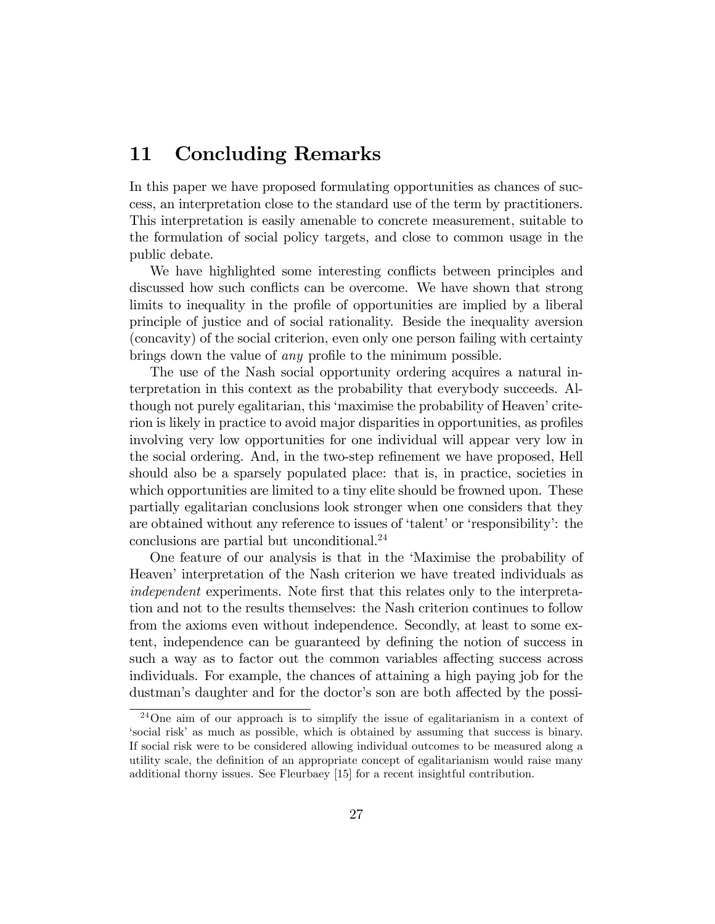### 11 Concluding Remarks

In this paper we have proposed formulating opportunities as chances of success, an interpretation close to the standard use of the term by practitioners. This interpretation is easily amenable to concrete measurement, suitable to the formulation of social policy targets, and close to common usage in the public debate.

We have highlighted some interesting conflicts between principles and discussed how such conflicts can be overcome. We have shown that strong limits to inequality in the profile of opportunities are implied by a liberal principle of justice and of social rationality. Beside the inequality aversion (concavity) of the social criterion, even only one person failing with certainty brings down the value of *any* profile to the minimum possible.

The use of the Nash social opportunity ordering acquires a natural interpretation in this context as the probability that everybody succeeds. Although not purely egalitarian, this 'maximise the probability of Heaven' criterion is likely in practice to avoid major disparities in opportunities, as profiles involving very low opportunities for one individual will appear very low in the social ordering. And, in the two-step refinement we have proposed, Hell should also be a sparsely populated place: that is, in practice, societies in which opportunities are limited to a tiny elite should be frowned upon. These partially egalitarian conclusions look stronger when one considers that they are obtained without any reference to issues of 'talent' or 'responsibility': the conclusions are partial but unconditional.<sup>24</sup>

One feature of our analysis is that in the ëMaximise the probability of Heaven' interpretation of the Nash criterion we have treated individuals as independent experiments. Note first that this relates only to the interpretation and not to the results themselves: the Nash criterion continues to follow from the axioms even without independence. Secondly, at least to some extent, independence can be guaranteed by defining the notion of success in such a way as to factor out the common variables affecting success across individuals. For example, the chances of attaining a high paying job for the dustman's daughter and for the doctor's son are both affected by the possi-

<sup>24</sup>One aim of our approach is to simplify the issue of egalitarianism in a context of ësocial riskí as much as possible, which is obtained by assuming that success is binary. If social risk were to be considered allowing individual outcomes to be measured along a utility scale, the definition of an appropriate concept of egalitarianism would raise many additional thorny issues. See Fleurbaey [15] for a recent insightful contribution.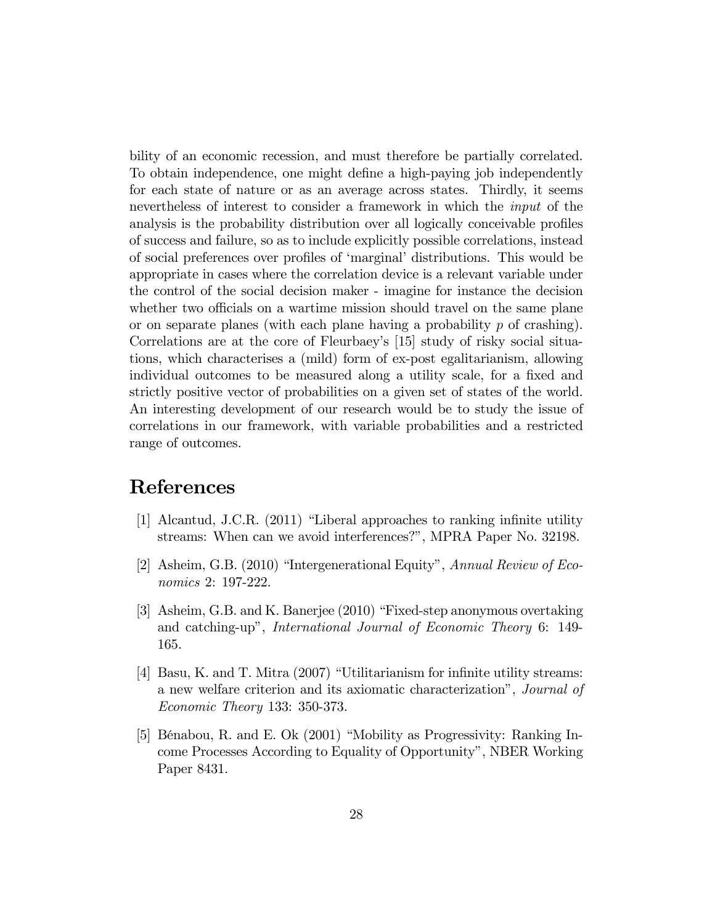bility of an economic recession, and must therefore be partially correlated. To obtain independence, one might define a high-paying job independently for each state of nature or as an average across states. Thirdly, it seems nevertheless of interest to consider a framework in which the input of the analysis is the probability distribution over all logically conceivable profiles of success and failure, so as to include explicitly possible correlations, instead of social preferences over profiles of 'marginal' distributions. This would be appropriate in cases where the correlation device is a relevant variable under the control of the social decision maker - imagine for instance the decision whether two officials on a wartime mission should travel on the same plane or on separate planes (with each plane having a probability  $p$  of crashing). Correlations are at the core of Fleurbaeyís [15] study of risky social situations, which characterises a (mild) form of ex-post egalitarianism, allowing individual outcomes to be measured along a utility scale, for a fixed and strictly positive vector of probabilities on a given set of states of the world. An interesting development of our research would be to study the issue of correlations in our framework, with variable probabilities and a restricted range of outcomes.

### References

- $[1]$  Alcantud, J.C.R.  $(2011)$  "Liberal approaches to ranking infinite utility streams: When can we avoid interferences?", MPRA Paper No. 32198.
- [2] Asheim, G.B.  $(2010)$  "Intergenerational Equity", Annual Review of Economics 2: 197-222.
- [3] Asheim, G.B. and K. Banerjee  $(2010)$  "Fixed-step anonymous overtaking and catching-up", *International Journal of Economic Theory* 6: 149-165.
- [4] Basu, K. and T. Mitra  $(2007)$  "Utilitarianism for infinite utility streams: a new welfare criterion and its axiomatic characterization", Journal of Economic Theory 133: 350-373.
- [5] Bénabou, R. and E. Ok  $(2001)$  "Mobility as Progressivity: Ranking Income Processes According to Equality of Opportunityî, NBER Working Paper 8431.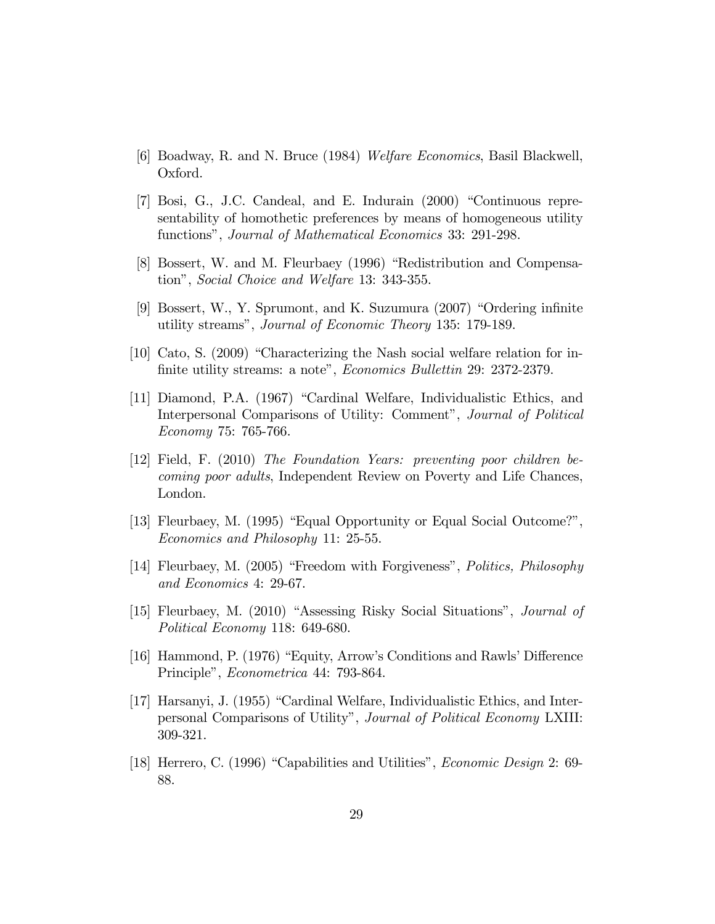- [6] Boadway, R. and N. Bruce (1984) Welfare Economics, Basil Blackwell, Oxford.
- [7] Bosi, G., J.C. Candeal, and E. Indurain (2000) "Continuous representability of homothetic preferences by means of homogeneous utility functions", Journal of Mathematical Economics 33: 291-298.
- [8] Bossert, W. and M. Fleurbaey (1996) "Redistribution and Compensation", Social Choice and Welfare 13: 343-355.
- [9] Bossert, W., Y. Sprumont, and K. Suzumura (2007) "Ordering infinite utility streams", Journal of Economic Theory 135: 179-189.
- [10] Cato, S.  $(2009)$  "Characterizing the Nash social welfare relation for infinite utility streams: a note", *Economics Bullettin* 29: 2372-2379.
- [11] Diamond, P.A. (1967) "Cardinal Welfare, Individualistic Ethics, and Interpersonal Comparisons of Utility: Comment", Journal of Political Economy 75: 765-766.
- $[12]$  Field, F. (2010) The Foundation Years: preventing poor children be*coming poor adults*, Independent Review on Poverty and Life Chances, London.
- [13] Fleurbaey, M. (1995) "Equal Opportunity or Equal Social Outcome?", Economics and Philosophy 11: 25-55.
- [14] Fleurbaey, M. (2005) "Freedom with Forgiveness", *Politics, Philosophy* and Economics 4: 29-67.
- [15] Fleurbaey, M. (2010) "Assessing Risky Social Situations", *Journal of* Political Economy 118: 649-680.
- [16] Hammond, P. (1976) "Equity, Arrow's Conditions and Rawls' Difference Principle", Econometrica 44: 793-864.
- [17] Harsanyi, J. (1955) "Cardinal Welfare, Individualistic Ethics, and Interpersonal Comparisons of Utility", Journal of Political Economy LXIII: 309-321.
- [18] Herrero, C. (1996) "Capabilities and Utilities", *Economic Design* 2: 69-88.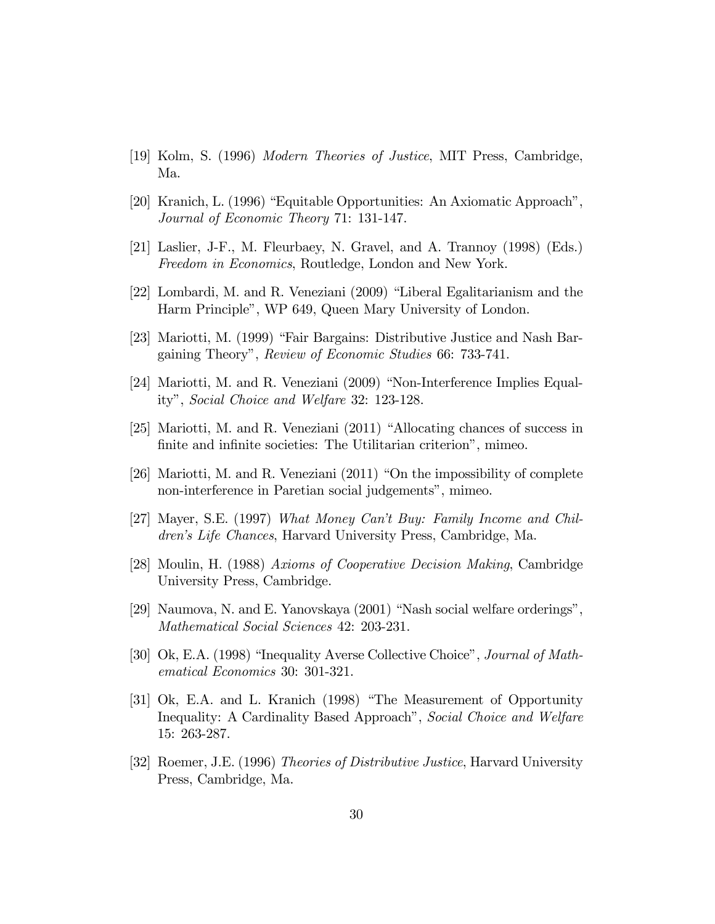- [19] Kolm, S. (1996) *Modern Theories of Justice*, MIT Press, Cambridge, Ma.
- [20] Kranich, L. (1996) "Equitable Opportunities: An Axiomatic Approach", Journal of Economic Theory 71: 131-147.
- [21] Laslier, J-F., M. Fleurbaey, N. Gravel, and A. Trannoy (1998) (Eds.) *Freedom in Economics*, Routledge, London and New York.
- [22] Lombardi, M. and R. Veneziani (2009) "Liberal Egalitarianism and the Harm Principle", WP 649, Queen Mary University of London.
- [23] Mariotti, M. (1999) "Fair Bargains: Distributive Justice and Nash Bargaining Theory", Review of Economic Studies 66: 733-741.
- [24] Mariotti, M. and R. Veneziani (2009) "Non-Interference Implies Equality", Social Choice and Welfare 32: 123-128.
- [25] Mariotti, M. and R. Veneziani (2011) "Allocating chances of success in finite and infinite societies: The Utilitarian criterion", mimeo.
- [26] Mariotti, M. and R. Veneziani  $(2011)$  "On the impossibility of complete non-interference in Paretian social judgements", mimeo.
- [27] Mayer, S.E. (1997) What Money Can't Buy: Family Income and Children's Life Chances, Harvard University Press, Cambridge, Ma.
- [28] Moulin, H. (1988) Axioms of Cooperative Decision Making, Cambridge University Press, Cambridge.
- [29] Naumova, N. and E. Yanovskaya (2001) "Nash social welfare orderings", Mathematical Social Sciences 42: 203-231.
- [30] Ok, E.A. (1998) "Inequality Averse Collective Choice", *Journal of Math*ematical Economics 30: 301-321.
- [31] Ok, E.A. and L. Kranich (1998) "The Measurement of Opportunity Inequality: A Cardinality Based Approach", Social Choice and Welfare 15: 263-287.
- [32] Roemer, J.E. (1996) Theories of Distributive Justice, Harvard University Press, Cambridge, Ma.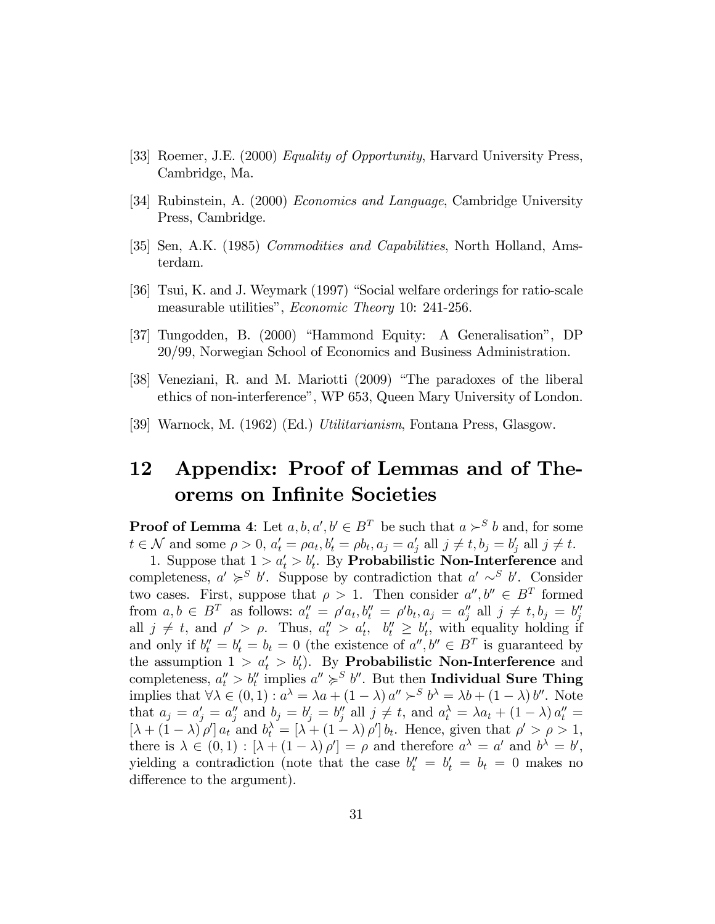- [33] Roemer, J.E. (2000) *Equality of Opportunity*, Harvard University Press, Cambridge, Ma.
- [34] Rubinstein, A. (2000) *Economics and Language*, Cambridge University Press, Cambridge.
- [35] Sen, A.K. (1985) Commodities and Capabilities, North Holland, Amsterdam.
- [36] Tsui, K. and J. Weymark (1997) "Social welfare orderings for ratio-scale measurable utilities", *Economic Theory* 10: 241-256.
- [37] Tungodden, B. (2000) "Hammond Equity: A Generalisation", DP 20/99, Norwegian School of Economics and Business Administration.
- [38] Veneziani, R. and M. Mariotti (2009) "The paradoxes of the liberal ethics of non-interference", WP 653, Queen Mary University of London.
- [39] Warnock, M. (1962) (Ed.) Utilitarianism, Fontana Press, Glasgow.

#### Appendix: Proof of Lemmas and of The-12 orems on Infinite Societies

**Proof of Lemma 4:** Let  $a, b, a', b' \in B^T$  be such that  $a \succ^S b$  and, for some  $t \in \mathcal{N}$  and some  $\rho > 0$ ,  $a'_t = \rho a_t$ ,  $b'_t = \rho b_t$ ,  $a_j = a'_j$  all  $j \neq t$ ,  $b_j = b'_j$  all  $j \neq t$ .<br>1. Suppose that  $1 > a'_t > b'_t$ . By **Probabilistic Non-Interference** and

completeness,  $a' \geqslant^S b'$ . Suppose by contradiction that  $a' \sim^S b'$ . Consider two cases. First, suppose that  $\rho > 1$ . Then consider  $a'', b'' \in B^T$  formed from  $a, b \in B^T$  as follows:  $a''_t = \rho' a_t, b''_t = \rho' b_t, a_j = a''_j$  all  $j \neq t, b_j = b''_j$ <br>all  $j \neq t$ , and  $\rho' > \rho$ . Thus,  $a''_t > a'_t$ ,  $b''_t \geq b'_t$ , with equality holding if<br>and only if  $b''_t = b'_t = b_t = 0$  (the existence of  $a'', b'' \in B^T$ the assumption  $1 > a'_t > b'_t$ . By **Probabilistic Non-Interference** and completeness,  $a''_t > b''_t$  implies  $a'' \geq s' b''$ . But then Individual Sure Thing implies that  $\forall \lambda \in (0,1) : a^{\lambda} = \lambda a + (1-\lambda) a'' >^S b^{\lambda} = \lambda b + (1-\lambda) b''$ . Note that  $a_j = a'_j = a''_j$  and  $b_j = b'_j = b''_j$  all  $j \neq t$ , and  $a_t^{\lambda} = \lambda a_t + (1 - \lambda) a''_t =$  $[\lambda + (1 - \lambda) \rho'] a_t$  and  $b_t^{\lambda} = [\lambda + (1 - \lambda) \rho'] b_t$ . Hence, given that  $\rho' > \rho > 1$ , there is  $\lambda \in (0,1) : [\lambda + (1-\lambda) \rho'] = \rho$  and therefore  $a^{\lambda} = a'$  and  $b^{\lambda} = b'$ , yielding a contradiction (note that the case  $b_t'' = b_t' = b_t = 0$  makes no difference to the argument).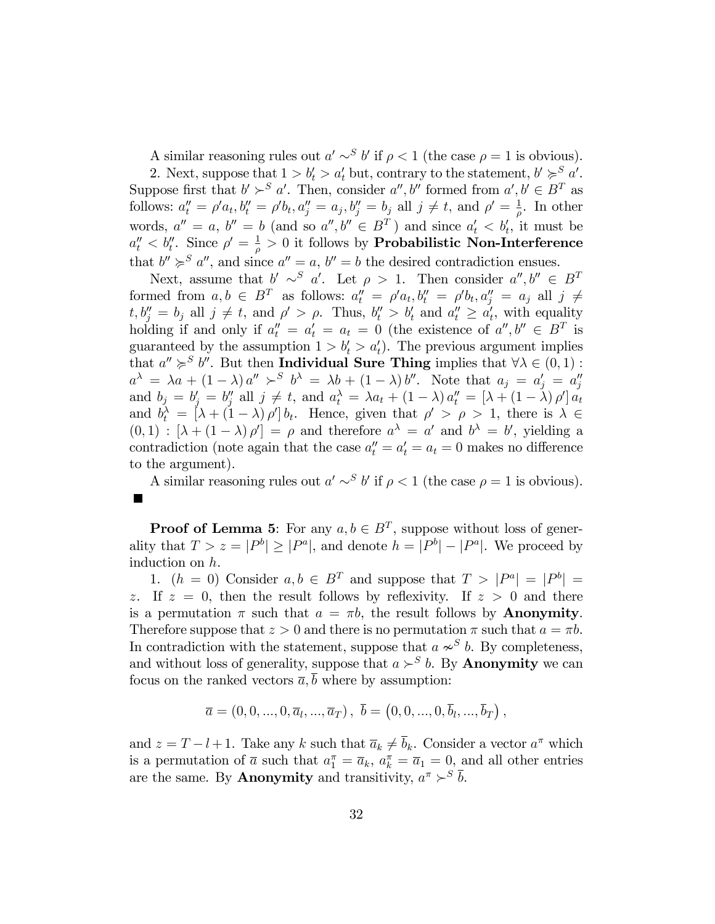A similar reasoning rules out  $a' \sim^S b'$  if  $\rho < 1$  (the case  $\rho = 1$  is obvious).

2. Next, suppose that  $1 > b'_t > a'_t$  but, contrary to the statement,  $b' \succ s' a'$ . Suppose first that  $b' > S a'$ . Then, consider  $a'', b''$  formed from  $a', b' \in B^T$  as follows:  $a''_t = \rho' a_t, b''_t = \rho' b_t, a''_j = a_j, b''_j = b_j$  all  $j \neq t$ , and  $\rho' = \frac{1}{\rho}$  $\frac{1}{\rho}$ . In other words,  $a'' = a$ ,  $b'' = b$  (and so  $a'', b'' \in B^T$ ) and since  $a'_t < b'_t$ , it must be  $a''_t < b''_t$ . Since  $\rho' = \frac{1}{\rho}$  $\frac{1}{\rho} > 0$  it follows by **Probabilistic Non-Interference** that  $b'' \geq s a''$ , and since  $a'' = a$ ,  $b'' = b$  the desired contradiction ensues.

Next, assume that  $b' \sim^S a'$ . Let  $\rho > 1$ . Then consider  $a'', b'' \in B^T$ formed from  $a, b \in B^T$  as follows:  $a''_t = \rho' a_t, b''_t = \rho' b_t, a''_j = a_j$  all  $j \neq$  $t, b''_j = b_j$  all  $j \neq t$ , and  $\rho' > \rho$ . Thus,  $b''_t > b'_t$  and  $a''_t \geq a'_t$ , with equality holding if and only if  $a''_t = a'_t = a_t = 0$  (the existence of  $a'', b'' \in B^T$  is guaranteed by the assumption  $1 > b'_t > a'_t$ . The previous argument implies that  $a'' \geq^S b''$ . But then **Individual Sure Thing** implies that  $\forall \lambda \in (0,1)$ :  $a^{\lambda} = \lambda a + (1 - \lambda) a'' >^S b^{\lambda} = \lambda b + (1 - \lambda) b''$ . Note that  $a_j = a'_j = a''_j$ and  $b_j = b'_j = b''_j$  all  $j \neq t$ , and  $a_t^{\lambda} = \lambda a_t + (1 - \lambda) a''_t = [\lambda + (1 - \lambda) \rho'] a_t$ and  $b_t^{\lambda} = [\lambda + (1 - \lambda) \rho'] b_t$ . Hence, given that  $\rho' > \rho > 1$ , there is  $\lambda \in$  $(0,1)$ :  $[\lambda + (1-\lambda)\rho'] = \rho$  and therefore  $a^{\lambda} = a'$  and  $b^{\lambda} = b'$ , yielding a contradiction (note again that the case  $a''_t = a'_t = a_t = 0$  makes no difference to the argument).

A similar reasoning rules out  $a' \sim^S b'$  if  $\rho < 1$  (the case  $\rho = 1$  is obvious).  $\overline{\phantom{a}}$ 

**Proof of Lemma 5:** For any  $a, b \in B^T$ , suppose without loss of generality that  $T > z = |P^b| \ge |P^a|$ , and denote  $h = |P^b| - |P^a|$ . We proceed by induction on h.

1.  $(h = 0)$  Consider  $a, b \in B^T$  and suppose that  $T > |P^a| = |P^b| =$ z. If  $z = 0$ , then the result follows by reflexivity. If  $z > 0$  and there is a permutation  $\pi$  such that  $a = \pi b$ , the result follows by **Anonymity**. Therefore suppose that  $z > 0$  and there is no permutation  $\pi$  such that  $a = \pi b$ . In contradiction with the statement, suppose that  $a \sim^{S} b$ . By completeness, and without loss of generality, suppose that  $a \succ^S b$ . By **Anonymity** we can focus on the ranked vectors  $\overline{a}$ ,  $\overline{b}$  where by assumption:

$$
\overline{a} = (0, 0, ..., 0, \overline{a}_l, ..., \overline{a}_T), \ \overline{b} = (0, 0, ..., 0, \overline{b}_l, ..., \overline{b}_T),
$$

and  $z = T - l + 1$ . Take any k such that  $\overline{a}_k \neq \overline{b}_k$ . Consider a vector  $a^{\pi}$  which is a permutation of  $\bar{a}$  such that  $a_1^{\pi} = \bar{a}_k$ ,  $a_k^{\pi} = \bar{a}_1 = 0$ , and all other entries are the same. By **Anonymity** and transitivity,  $a^{\pi} \succ^S \overline{b}$ .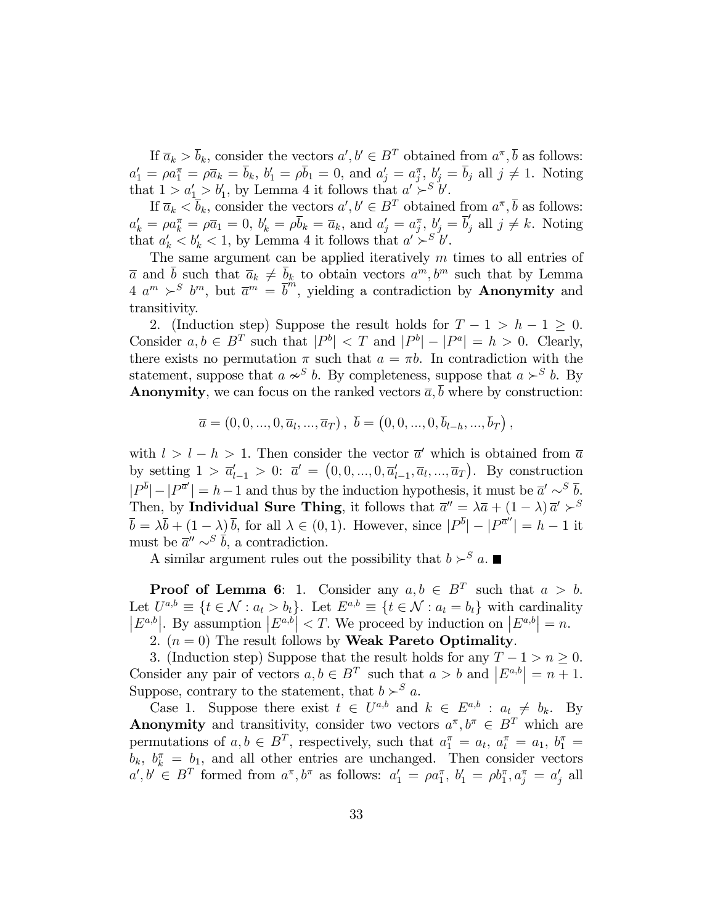If  $\overline{a}_k > \overline{b}_k$ , consider the vectors  $a', b' \in B^T$  obtained from  $a^{\pi}, \overline{b}$  as follows:  $a'_1 = \rho a''_1 = \rho \overline{a}_k = \overline{b}_k$ ,  $b'_1 = \rho \overline{b}_1 = 0$ , and  $a'_j = a''_j$ ,  $b'_j = \overline{b}_j$  all  $j \neq 1$ . Noting that  $1 > a'_1 > b'_1$ , by Lemma 4 it follows that  $a' > b'_1$ .

If  $\overline{a}_k < \overline{b}_k$ , consider the vectors  $a', b' \in B^T$  obtained from  $a^{\pi}, \overline{b}$  as follows:  $a'_k = \rho \overline{a}_1 = 0, b'_k = \rho \overline{b}_k = \overline{a}_k$ , and  $a'_j = a_j^{\pi}, b'_j = \overline{b}'_j$  all  $j \neq k$ . Noting that  $a'_k < b'_k < 1$ , by Lemma 4 it follows that  $a' > b'$ .

The same argument can be applied iteratively  $m$  times to all entries of  $\overline{a}$  and  $\overline{b}$  such that  $\overline{a}_k \neq \overline{b}_k$  to obtain vectors  $a^m, b^m$  such that by Lemma  $4 \, a^m \succ^S b^m$ , but  $\overline{a}^m = \overline{b}^m$ , yielding a contradiction by **Anonymity** and transitivity.

2. (Induction step) Suppose the result holds for  $T - 1 > h - 1 \geq 0$ . Consider  $a, b \in B^T$  such that  $|P^b| < T$  and  $|P^b| - |P^a| = h > 0$ . Clearly, there exists no permutation  $\pi$  such that  $a = \pi b$ . In contradiction with the statement, suppose that  $a \nsim^{S} b$ . By completeness, suppose that  $a \nsucc^{S} b$ . By **Anonymity**, we can focus on the ranked vectors  $\overline{a}$ ,  $\overline{b}$  where by construction:

$$
\overline{a} = (0, 0, ..., 0, \overline{a}_l, ..., \overline{a}_T), \ \overline{b} = (0, 0, ..., 0, \overline{b}_{l-h}, ..., \overline{b}_T),
$$

with  $l > l - h > 1$ . Then consider the vector  $\overline{a}^{\prime}$  which is obtained from  $\overline{a}$ by setting  $1 > \bar{a}'_{l-1} > 0$ :  $\bar{a}' = (0, 0, ..., 0, \bar{a}'_{l-1}, \bar{a}_l, ..., \bar{a}_T)$ . By construction  $|P^b| - |P^{\bar{a}'}| = h-1$  and thus by the induction hypothesis, it must be  $\bar{a}' \sim^S \bar{b}$ . Then, by Individual Sure Thing, it follows that  $\overline{a}'' = \lambda \overline{a} + (1 - \lambda) \overline{a}' \succ^S$  $\overline{b} = \lambda \overline{b} + (1 - \lambda) \overline{b}$ , for all  $\lambda \in (0, 1)$ . However, since  $|P^b| - |P^{\overline{a}''}| = h - 1$  it must be  $\overline{a}'' \sim^S \overline{b}$ , a contradiction.

A similar argument rules out the possibility that  $b \succ^S a$ .

**Proof of Lemma 6:** 1. Consider any  $a, b \in B^T$  such that  $a > b$ . Let  $U^{a,b} \equiv \{t \in \mathcal{N} : a_t > b_t\}$ . Let  $E^{a,b} \equiv \{t \in \mathcal{N} : a_t = b_t\}$  with cardinality  $|E^{a,b}|$ . By assumption  $|E^{a,b}| < T$ . We proceed by induction on  $|E^{a,b}| = n$ .

2.  $(n = 0)$  The result follows by Weak Pareto Optimality.

3. (Induction step) Suppose that the result holds for any  $T - 1 > n \geq 0$ . Consider any pair of vectors  $a, b \in B^T$  such that  $a > b$  and  $|E^{a,b}| = n + 1$ . Suppose, contrary to the statement, that  $b \succ^S a$ .

Case 1. Suppose there exist  $t \in U^{a,b}$  and  $k \in E^{a,b} : a_t \neq b_k$ . By **Anonymity** and transitivity, consider two vectors  $a^{\pi}, b^{\pi} \in B^T$  which are permutations of  $a, b \in B^T$ , respectively, such that  $a_1^{\pi} = a_t$ ,  $a_t^{\pi} = a_1$ ,  $b_1^{\pi} = a_1$  $b_k$ ,  $b_k^{\pi} = b_1$ , and all other entries are unchanged. Then consider vectors  $a', b' \in B^T$  formed from  $a^{\pi}, b^{\pi}$  as follows:  $a'_1 = \rho a_1^{\pi}, b'_1 = \rho b_1^{\pi}, a_2^{\pi} = a'_j$  all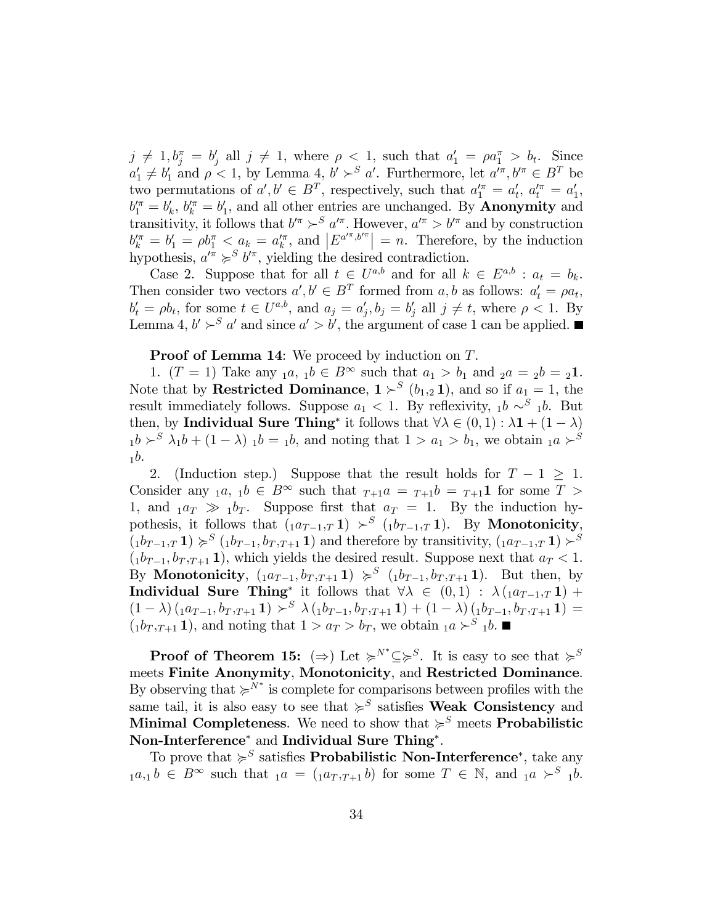$j \neq 1, b_j^{\pi} = b_j'$  all  $j \neq 1$ , where  $\rho < 1$ , such that  $a_1' = \rho a_1^{\pi} > b_t$ . Since  $a'_1 \neq b'_1$  and  $\rho < 1$ , by Lemma 4,  $b' >^S a'$ . Furthermore, let  $a'^{\pi}, b'^{\pi} \in B^T$  be two permutations of  $a', b' \in B^T$ , respectively, such that  $a''_1 = a'_t, a''_t = a'_1$ ,  $b_1^{\prime \pi} = b_k^{\prime}, b_k^{\prime \pi} = b_1^{\prime}$ , and all other entries are unchanged. By **Anonymity** and transitivity, it follows that  $b'^{\pi} > S a'^{\pi}$ . However,  $a'^{\pi} > b'^{\pi}$  and by construction  $b_k^{\prime \pi} = b_1^{\prime} = \rho b_1^{\pi} < a_k = a_k^{\prime \pi}, \text{ and } \left| E^{a^{\prime \pi}, b^{\prime \pi}} \right| = n.$  Therefore, by the induction hypothesis,  $a'^{\pi} \succcurlyeq^S b'^{\pi}$ , yielding the desired contradiction.

Case 2. Suppose that for all  $t \in U^{a,b}$  and for all  $k \in E^{a,b}$  :  $a_t = b_k$ . Then consider two vectors  $a', b' \in B^T$  formed from a, b as follows:  $a'_t = \rho a_t$ ,  $b'_t = \rho b_t$ , for some  $t \in U^{a,b}$ , and  $a_j = a'_j, b_j = b'_j$  all  $j \neq t$ , where  $\rho < 1$ . By Lemma 4,  $b' \succ^S a'$  and since  $a' > b'$ , the argument of case 1 can be applied.

#### **Proof of Lemma 14:** We proceed by induction on T.

1.  $(T = 1)$  Take any  $_1a, 1b \in B^{\infty}$  such that  $a_1 > b_1$  and  $_2a = 2b = 21$ . Note that by **Restricted Dominance**,  $1 \succ^S (b_{1,2} 1)$ , and so if  $a_1 = 1$ , the result immediately follows. Suppose  $a_1 < 1$ . By reflexivity,  $_1b \sim^S 1$ , But then, by **Individual Sure Thing**<sup>\*</sup> it follows that  $\forall \lambda \in (0,1) : \lambda \mathbf{1} + (1 - \lambda)$  $1b > S$   $\lambda_1b + (1 - \lambda)$   $1b = 1b$ , and noting that  $1 > a_1 > b_1$ , we obtain  $1a > S$  $<sub>1</sub>b$ .</sub>

2. (Induction step.) Suppose that the result holds for  $T - 1 \geq 1$ . Consider any  $_1a, 1b \in B^\infty$  such that  $_{T+1}a = _{T+1}b = _{T+1}1$  for some  $T >$ 1, and  $_1a_T \gg 1b_T$ . Suppose first that  $a_T = 1$ . By the induction hypothesis, it follows that  $(1a_{T-1},T\mathbf{1}) \succ^S (1b_{T-1},T\mathbf{1})$ . By Monotonicity,  $(1b_{T-1},T\mathbf{1}) \geqslant^S (1b_{T-1},b_{T},T+1\mathbf{1})$  and therefore by transitivity,  $(1a_{T-1},T\mathbf{1}) \geqslant^S$  $(1b_{T-1}, b_{T,T+1} 1)$ , which yields the desired result. Suppose next that  $a_T < 1$ . By **Monotonicity**,  $(1a_{T-1}, b_{T,T+1} 1) \geq s$   $(1b_{T-1}, b_{T,T+1} 1)$ . But then, by **Individual Sure Thing**<sup>\*</sup> it follows that  $\forall \lambda \in (0,1) : \lambda (1a_{T-1},T1) +$  $(1 - \lambda) (1 a_{T-1}, b_{T,T+1} 1) \succ^S \lambda (1 b_{T-1}, b_{T,T+1} 1) + (1 - \lambda) (1 b_{T-1}, b_{T,T+1} 1) =$  $(1b_T, T+1)$ , and noting that  $1 > a_T > b_T$ , we obtain  $1a > s_1 b$ .

**Proof of Theorem 15:**  $(\Rightarrow)$  Let  $\succcurlyeq^{N^*} \subseteq \succcurlyeq^S$ . It is easy to see that  $\succcurlyeq^S$ meets Finite Anonymity, Monotonicity, and Restricted Dominance. By observing that  $\succcurlyeq^{N^*}$  is complete for comparisons between profiles with the same tail, it is also easy to see that  $\succcurlyeq^S$  satisfies **Weak Consistency** and Minimal Completeness. We need to show that  $\succcurlyeq^S$  meets Probabilistic Non-Interference<sup>\*</sup> and Individual Sure Thing<sup>\*</sup>.

To prove that  $\succcurlyeq^S$  satisfies **Probabilistic Non-Interference**<sup>\*</sup>, take any  $_1a,_1b \in B^{\infty}$  such that  $_1a = (_1a_T,_{T+1}b)$  for some  $T \in \mathbb{N}$ , and  $_1a > S$   $_1b$ .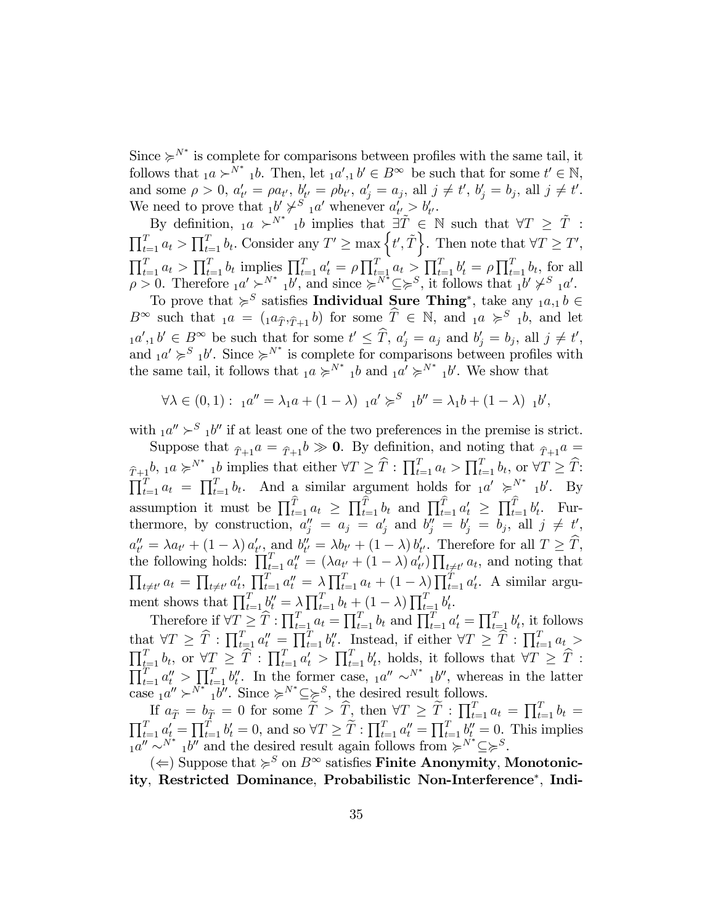Since  $\succcurlyeq^{N^*}$  is complete for comparisons between profiles with the same tail, it follows that  $_1a \succ^{N^*} 1b$ . Then, let  $_1a', 1b' \in B^{\infty}$  be such that for some  $t' \in \mathbb{N}$ , and some  $\rho > 0$ ,  $a'_{t'} = \rho a_{t'}$ ,  $b'_{t'} = \rho b_{t'}$ ,  $a'_{j} = a_{j}$ , all  $j \neq t'$ ,  $b'_{j} = b_{j}$ , all  $j \neq t'$ . We need to prove that  $_1b' \not\succ^S {}_{1}a'$  whenever  $a'_{t'} > b'_{t'}$ .

By definition,  $_1a \succ^{N^*} 1b$  implies that  $\exists \tilde{T} \in \mathbb{N}$  such that  $\forall T \geq \tilde{T}$ :  $\prod_{t=1}^T a_t > \prod_{t=1}^T b_t$ . Consider any  $T' \ge \max\left\{t', \tilde{T}\right\}$ . Then note that  $\forall T \ge T'$ ,  $\prod_{t=1}^{T} a_t > \prod_{t=1}^{T} b_t$  implies  $\prod_{t=1}^{T} a_t' = \rho \prod_{t=1}^{T} a_t > \prod_{t=1}^{T} b_t' = \rho \prod_{t=1}^{T} b_t$ , for all  $\rho > 0$ . Therefore  $_1a' \succ^{N^*} 1b'$ , and since  $\succcurlyeq^{N^*} \subseteq \succcurlyeq^S$ , it follows that  $_1b' \not\succ^S 1a'$ .

To prove that  $\succcurlyeq^S$  satisfies **Individual Sure Thing**<sup>\*</sup>, take any  $_1a_{,1}b \in$  $B^{\infty}$  such that  $_1a = (_1a_{\hat{T}},_{\hat{T}+1} b)$  for some  $\hat{T} \in \mathbb{N}$ , and  $_1a \geqslant s_1b$ , and let  $_1a',_1b' \in B^\infty$  be such that for some  $t' \leq T$ ,  $a'_j = a_j$  and  $b'_j = b_j$ , all  $j \neq t'$ , and  $_1a' \geq s'_{1}b'$ . Since  $\succeq^{N^*}$  is complete for comparisons between profiles with the same tail, it follows that  $_1a \succcurlyeq^{N^*} 1b$  and  $_1a' \succcurlyeq^{N^*} 1b'$ . We show that

$$
\forall \lambda \in (0,1): \mathbf{1}a'' = \lambda_1 a + (1-\lambda) \mathbf{1}a' \succcurlyeq^{S} \mathbf{1}b'' = \lambda_1 b + (1-\lambda) \mathbf{1}b',
$$

with  $1a'' > S_1b''$  if at least one of the two preferences in the premise is strict.

Suppose that  $_{\hat{T}+1}a = \hat{T}_{+1}b \gg 0$ . By definition, and noting that  $_{\hat{T}+1}a =$  $\widehat{T}_{t-1}h, \underline{a} \succcurlyeq^{N^*} \underline{b}$  implies that either  $\forall T \geq \widehat{T} : \prod_{t=1}^T a_t > \prod_{t=1}^T b_t, \text{ or } \forall T \geq \widehat{T}$ :  $\prod_{t=1}^{T} a_t = \prod_{t=1}^{T} b_t$ . And a similar argument holds for  ${}_{1}a' \geqslant^{N^*} {}_{1}b'$ . By assumption it must be  $\prod_{t=1}^T a_t \geq \prod_{t=1}^T b_t$  and  $\prod_{t=1}^T a_t' \geq \prod_{t=1}^T b_t'$ . Furthermore, by construction,  $a''_j = a_j = a'_j$  and  $b''_j = b'_j = b_j$ , all  $j \neq t'$ ,  $a''_{t'} = \lambda a_{t'} + (1 - \lambda) a'_{t'},$  and  $b''_{t'} = \lambda b_{t'} + (1 - \lambda) b'_{t'}.$  Therefore for all  $T \geq T$ , the following holds:  $\prod_{t=1}^T a_t'' = (\lambda a_{t'} + (1-\lambda) a_{t'}') \prod_{t \neq t'} a_t$ , and noting that  $\prod_{t \neq t'} a_t = \prod_{t \neq t'} a'_t$ ,  $\prod_{t=1}^T a''_t = \lambda \prod_{t=1}^T a_t + (1-\lambda) \prod_{t=1}^T a'_t$ . A similar argument shows that  $\prod_{t=1}^T \underline{b_t''} = \lambda \prod_{t=1}^T b_t + (1-\lambda) \prod_{t=1}^T b_t'.$ 

Therefore if  $\forall T \geq \widehat{T} : \prod_{t=1}^T a_t = \prod_{t=1}^T b_t$  and  $\prod_{t=1}^T a'_t = \prod_{t=1}^T b'_t$ , it follows that  $\forall T \geq \hat{T} : \prod_{t=1}^T a_t'' = \prod_{t=1}^T b_t''$ . Instead, if either  $\forall T \geq \hat{T} : \prod_{t=1}^T a_t >$  $\prod_{t=1}^T b_t$ , or  $\forall T \geq \hat{T} : \prod_{t=1}^T a'_t > \prod_{t=1}^T b'_t$ , holds, it follows that  $\forall T \geq \hat{T}$ :  $\prod_{t=1}^T a_t'' > \prod_{t=1}^T b_t''$ . In the former case,  $a_t'' \sim^{N^*} a_t''$ , whereas in the latter case  $_1a'' \succ^{N^*} 1b''$ . Since  $\succcurlyeq^{N^*} \subseteq \succeq^S$ , the desired result follows.

If  $a_{\widetilde{T}} = b_{\widetilde{T}} = 0$  for some  $\widetilde{T} > \widehat{T}$ , then  $\forall T \geq \widetilde{T} : \prod_{t=1}^T a_t = \prod_{t=1}^T b_t = \prod_{t=1}^T a_t' = \prod_{t=1}^T b_t'' = 0$ . This implies  $1a'' \sim N^*$   $1b''$  and the desired result again follows from  $\succcurlyeq N^* \subseteq \succcurlyeq^S$ .

( $\Leftarrow$ ) Suppose that  $\succcurlyeq^S$  on  $B^\infty$  satisfies **Finite Anonymity**, Monotonicity, Restricted Dominance, Probabilistic Non-Interference , Indi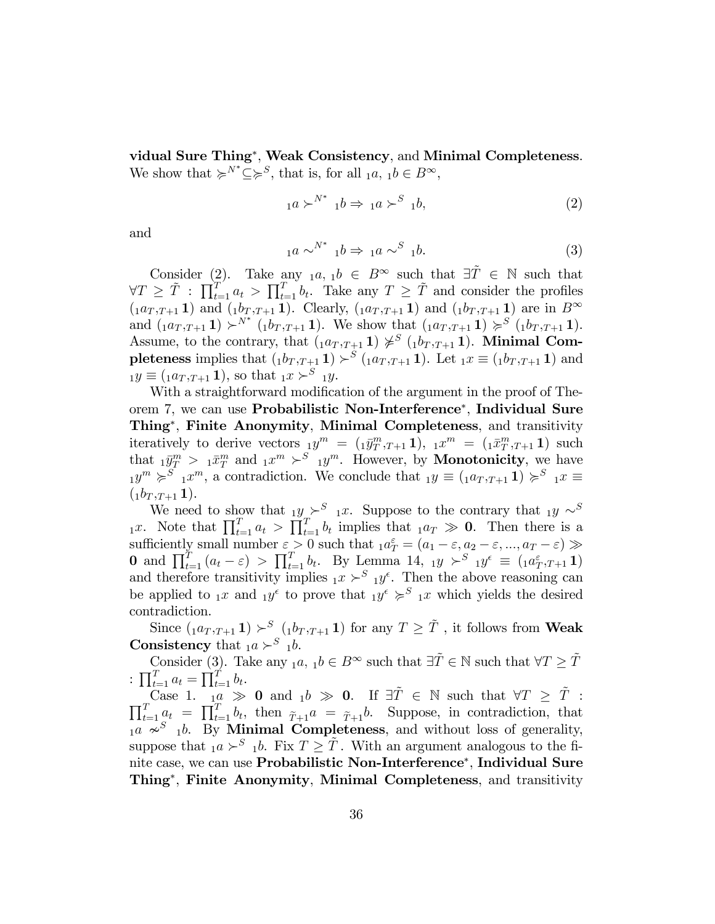vidual Sure Thing<sup>\*</sup>, Weak Consistency, and Minimal Completeness. We show that  $\succcurlyeq^{N^*} \subseteq \succcurlyeq^S$ , that is, for all  $_1a, 1b \in B^{\infty}$ ,

$$
{}_{1}a \succ^{N^*} {}_{1}b \Rightarrow {}_{1}a \succ^S {}_{1}b,
$$
\n
$$
(2)
$$

and

$$
{}_{1}a \sim^{N^*} {}_{1}b \Rightarrow {}_{1}a \sim^S {}_{1}b. \tag{3}
$$

Consider (2). Take any  $_1a, 1b \in B^{\infty}$  such that  $\exists \tilde{T} \in \mathbb{N}$  such that  $\forall T \geq \tilde{T} : \prod_{t=1}^{T} a_t > \prod_{t=1}^{T} b_t$ . Take any  $T \geq \tilde{T}$  and consider the profiles  $(i a_{T,T+1} 1)$  and  $(i b_{T,T+1} 1)$ . Clearly,  $(i a_{T,T+1} 1)$  and  $(i b_{T,T+1} 1)$  are in  $B^{\infty}$ and  $(1a_{T,T+1}\mathbf{1}) \succ^{N^*} (1b_{T,T+1}\mathbf{1})$ . We show that  $(1a_{T,T+1}\mathbf{1}) \succ^S (1b_{T,T+1}\mathbf{1})$ . Assume, to the contrary, that  $(1a_T, T+1) \not\approx^S (1b_T, T+1)$ . Minimal Completeness implies that  $(1^{p,T+1}) > S (1^{q,T+1} 1)$ . Let  $1^x \equiv (1^{p,T+1} 1)$  and  $_1y \equiv ({}_1a_T,_{T+1}1),$  so that  ${}_1x \succ^S{}_1y$ .

With a straightforward modification of the argument in the proof of Theorem 7, we can use **Probabilistic Non-Interference**<sup>\*</sup>, **Individual Sure** Thing<sup>\*</sup>, Finite Anonymity, Minimal Completeness, and transitivity iteratively to derive vectors  $_1y^m = (1\bar{y}_T^m, T_{+1}\mathbf{1}), \; 1x^m = (1\bar{x}_T^m, T_{+1}\mathbf{1})$  such that  $1\bar{y}_T^m > 1\bar{x}_T^m$  and  $1\bar{x}^m > S 1\bar{y}^m$ . However, by **Monotonicity**, we have  $_{1}y^{m} \geqslant^{S}$   $_{1}x^{m}$ , a contradiction. We conclude that  $_{1}y \equiv (_{1}a_{T,T+1}1) \geqslant^{S} {_{1}x \equiv}$  $({}_{1}b_{T},_{T+1}1).$ 

We need to show that  $y \succeq^{S} x$ . Suppose to the contrary that  $y \succeq^{S} x$  $\prod_{t=1}^T a_t > \prod_{t=1}^T b_t$  implies that  $a_T \gg 0$ . Then there is a sufficiently small number  $\varepsilon > 0$  such that  $_1 a_T^{\varepsilon} = (a_1 - \varepsilon, a_2 - \varepsilon, ..., a_T - \varepsilon) \gg$ 0 and  $\prod_{t=1}^T (a_t - \varepsilon) > \prod_{t=1}^T b_t$ . By Lemma 14,  $_1y > S_{1}y^{\varepsilon} \equiv (1 a_T^{\varepsilon}, T+1)$ and therefore transitivity implies  $x > S_{1}y^{\epsilon}$ . Then the above reasoning can be applied to  $x$  and  $y^{\epsilon}$  to prove that  $y^{\epsilon} \geqslant^{S} x$  which yields the desired contradiction.

Since  $(1a_{T,T+1}\mathbf{1}) \succ^S (1b_{T,T+1}\mathbf{1})$  for any  $T \geq \tilde{T}$ , it follows from **Weak Consistency** that  $_1a \succ^S_1b$ .

Consider  $(3)$ . Take any  $_1a, 1b \in B^{\infty}$  such that  $\exists \tilde{T} \in \mathbb{N}$  such that  $\forall T \geq \tilde{T}$ :  $\prod_{t=1}^{T} a_t = \prod_{t=1}^{T} b_t.$ 

Case 1.  $\frac{1}{1a} \gg 0$  and  $1b \gg 0$ . If  $\exists \tilde{T} \in \mathbb{N}$  such that  $\forall T \geq \tilde{T}$ :  $\prod_{t=1}^T a_t = \prod_{t=1}^T b_t$ , then  $\tilde{\tau}_{+1}a = \tilde{\tau}_{+1}b$ . Suppose, in contradiction, that  $_{1}a \approx_{1}^{S} b$ . By Minimal Completeness, and without loss of generality, suppose that  $_1a \succ^S_1b$ . Fix  $T \geq \tilde{T}$ . With an argument analogous to the finite case, we can use **Probabilistic Non-Interference**<sup>\*</sup>, **Individual Sure** Thing<sup>\*</sup>, Finite Anonymity, Minimal Completeness, and transitivity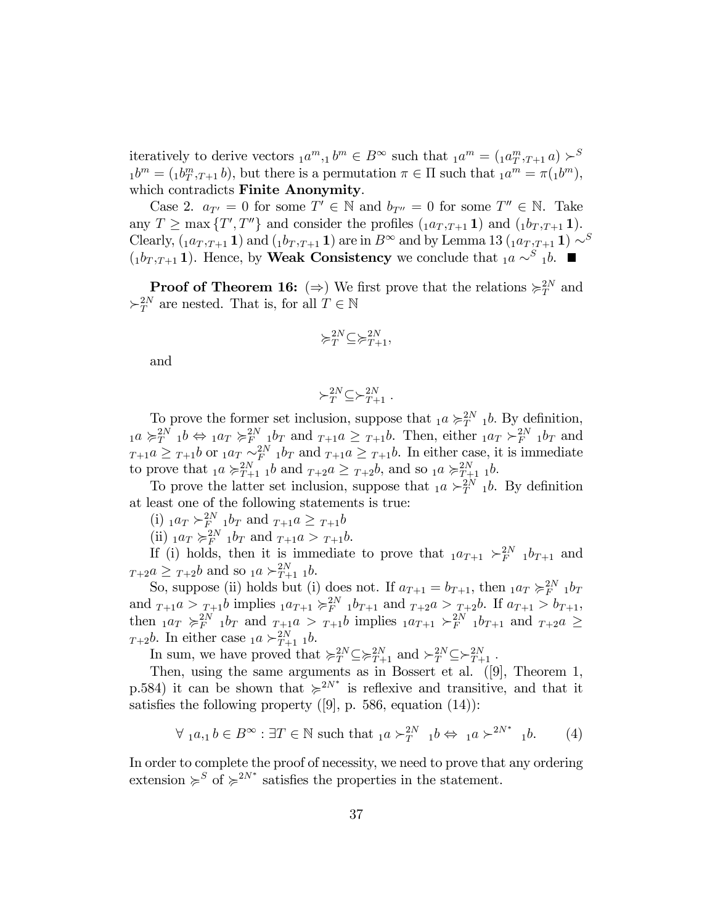iteratively to derive vectors  $_1 a^m, _1 b^m \in B^{\infty}$  such that  $_1 a^m = ({}_1 a^m, {}_{T+1} a) \succ^S$  $_1b^m = (1b_T^m, T+1 b)$ , but there is a permutation  $\pi \in \Pi$  such that  $_1a^m = \pi(1b^m)$ , which contradicts Finite Anonymity.

Case 2.  $a_{T'} = 0$  for some  $T' \in \mathbb{N}$  and  $b_{T''} = 0$  for some  $T'' \in \mathbb{N}$ . Take any  $T \ge \max \{T', T''\}$  and consider the profiles  $(1a_{T}, T_{+1} 1)$  and  $(1b_{T}, T_{+1} 1)$ . Clearly,  $(1a_{T,T+1}\mathbf{1})$  and  $(1b_{T,T+1}\mathbf{1})$  are in  $B^{\infty}$  and by Lemma 13  $(1a_{T,T+1}\mathbf{1}) \sim^{S}$  $(1b_{T,T+1} 1)$ . Hence, by **Weak Consistency** we conclude that  $1a \sim S_1 b$ .

**Proof of Theorem 16:** ( $\Rightarrow$ ) We first prove that the relations  $\succcurlyeq_T^{2N}$  and  $\succ_T^{2N}$  are nested. That is, for all  $T \in \mathbb{N}$ 

$$
\succcurlyeq _{T}^{2N}\subseteq \succcurlyeq _{T+1}^{2N},
$$

and

$$
\succ_T^{2N} \subseteq \succ_{T+1}^{2N}.
$$

To prove the former set inclusion, suppose that  $_1a \succcurlyeq_{T}^{2N} 1b$ . By definition,  $_1a \succcurlyeq_{T}^{2N} 1b \Leftrightarrow 1a_T \succcurlyeq_{F-2M}^{2N} 1b_T$  and  $_{T+1}a \geq T+1b$ . Then, either  $_1a_T \succ_{F}^{2N} 1b_T$  and  $T+1$ <sup>a</sup>  $\geq T+1$ b or  $1$ <sup>a</sup> $T \sim_{F}^{2N} 1$ b<sub>T</sub> and  $T+1$ <sup>a</sup> $\geq T+1$ <sup>b</sup>. In either case, it is immediate to prove that  $_1a \succcurlyeq_{T+1}^{2N} b$  and  $_{T+2}a \geq T+2b$ , and so  $_1a \succcurlyeq_{T+1}^{2N} b$ .

To prove the latter set inclusion, suppose that  $_1a \succ_T^{2N} 1b$ . By definition at least one of the following statements is true:

 $(i)$   $_{1}a_{T} \succ_{F_{2M}}^{2N} 1b_{T}$  and  $_{T+1}a \geq T_{+1}b$ 

(ii)  $_1a_T \succcurlyeq_F^{2N} 1b_T$  and  $_{T+1}a > T+1b$ .

If (i) holds, then it is immediate to prove that  $_1a_{T+1} >_F^{2N} 1b_{T+1}$  and  $T+2a \geq T+2b$  and so  $1a \succ T+1 1b$ .

So, suppose (ii) holds but (i) does not. If  $a_{T+1} = b_{T+1}$ , then  $a_T \succcurlyeq_F^{2N} a_T$ and  $T_{+1}a > T_{+1}b$  implies  ${}_{1}a_{T+1} \geqslant {}_{F}^{2N} {}_{1}b_{T+1}$  and  ${}_{T+2}a > T_{+2}b$ . If  $a_{T+1} > b_{T+1}$ , then  $_1a_T \geqslant_F^{2N} 1b_T$  and  $_{T+1}a > T+1b$  implies  $_1a_{T+1} \geqslant_F^{2N} 1b_{T+1}$  and  $_{T+2}a \geqslant$  $T+2b$ . In either case  $1a \succ_{T+1}^{2N} 1b$ .

In sum, we have proved that  $\succcurlyeq_{T}^{2N} \subseteq \succcurlyeq_{T+1}^{2N}$  and  $\succ_{T}^{2N} \subseteq \succ_{T+1}^{2N}$ .

Then, using the same arguments as in Bossert et al. ([9], Theorem 1, p.584) it can be shown that  $\succcurlyeq^{2N^*}$  is reflexive and transitive, and that it satisfies the following property  $([9], p. 586$ , equation  $(14)$ :

$$
\forall a, a, b \in B^{\infty} : \exists T \in \mathbb{N} \text{ such that } a \succ_T^{2N} a b \Leftrightarrow a \succ^2 N^* a b. \tag{4}
$$

In order to complete the proof of necessity, we need to prove that any ordering extension  $\succcurlyeq^S$  of  $\succcurlyeq^{2N^*}$  satisfies the properties in the statement.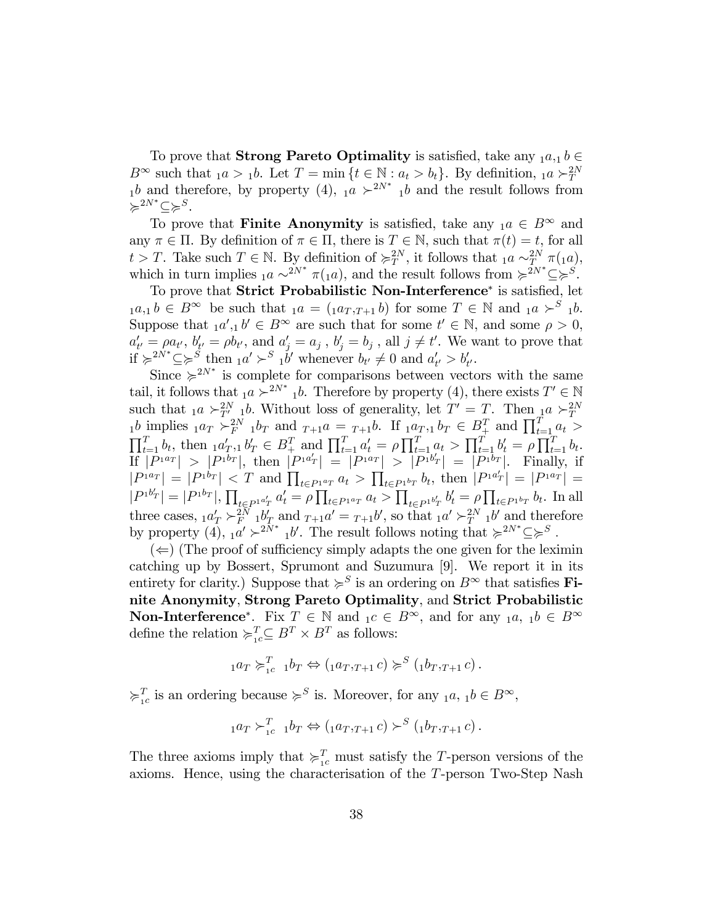To prove that **Strong Pareto Optimality** is satisfied, take any  $_1a_{,1}b \in$  $B^{\infty}$  such that  $_1a > 1b$ . Let  $T = \min \{ t \in \mathbb{N} : a_t > b_t \}$ . By definition,  $_1a \succ_T^{2N}$ <br> $_1b$  and therefore, by property  $(4)$ ,  $_1a \succ_T^{2N^*}$   $_1b$  and the result follows from  $\succcurlyeq^{2N^*}\subseteq\succcurlyeq^S.$ 

To prove that **Finite Anonymity** is satisfied, take any  $_1a \in B^{\infty}$  and any  $\pi \in \Pi$ . By definition of  $\pi \in \Pi$ , there is  $T \in \mathbb{N}$ , such that  $\pi(t) = t$ , for all  $t > T$ . Take such  $T \in \mathbb{N}$ . By definition of  $\succcurlyeq_{T}^{2N}$ , it follows that  $1a \sim_{T_{\text{max}}}^{2N} \pi(1a)$ , which in turn implies  $_1a \sim^{2N^*} \pi(1a)$ , and the result follows from  $\succcurlyeq^{2N^*} \subseteq \succcurlyeq^S$ .

To prove that Strict Probabilistic Non-Interference<sup>\*</sup> is satisfied, let  $_1a_{,1}b \in B^{\infty}$  be such that  $_1a = (_1a_{T,T+1}b)$  for some  $T \in \mathbb{N}$  and  $_1a \succ^S 1b$ . Suppose that  $_1a',_1b' \in B^\infty$  are such that for some  $t' \in \mathbb{N}$ , and some  $\rho > 0$ ,  $a'_{t'} = \rho a_{t'}, b'_{t'} = \rho b_{t'}, \text{ and } a'_{j} = a_{j}, b'_{j} = b_{j}, \text{ all } j \neq t'.$  We want to prove that if  $\succcurlyeq^{2N^*} \subseteq \succcurlyeq^S$  then  $_1 a' \succ^S_1 b'$  whenever  $b_{t'} \neq 0$  and  $a'_{t'} > b'_{t'}$ .

Since  $\geq 2^{N^*}$  is complete for comparisons between vectors with the same tail, it follows that  $_1a \succ^{2N^*} 1b$ . Therefore by property (4), there exists  $T' \in \mathbb{N}$ such that  ${}_{1}a \succ_{T'}^{2N} {}_{1}b$ . Without loss of generality, let  $T' = T$ . Then  ${}_{1}a \succ_{T}^{2N} {}_{1}b$  implies  ${}_{1}a_T \succ_{F}^{2N} {}_{1}b_T$  and  ${}_{T+1}a = {}_{T+1}b$ . If  ${}_{1}a_T, {}_{1}b_T \in B^T$  and  $\prod_{t=1}^{T} a_t >$  $\prod_{t=1}^T b_t$ , then  $a'_T, b'_T \in B^T_+$  and  $\prod_{t=1}^T a'_t = \rho \prod_{t=1}^T a_t > \prod_{t=1}^T b'_t = \rho \prod_{t=1}^T b_t$ .  $\text{If } |P^{1a_T}| > |P^{1b_T}|, \text{ then } |P^{1a_T'}| = |P^{1a_T}| > |P^{1b_T'}| = |P^{1b_T}|. \text{ Finally, if }$  $|P^{1a_T}| = |P^{1b_T}| < T$  and  $\prod_{t \in P^{1a_T}} a_t > \prod_{t \in P^{1b_T}} b_t$ , then  $|P^{1a_T'}| = |P^{1a_T}| =$  $|P^{1b'}| = |P^{1b_T}|$ ,  $\prod_{t \in P^{1a'}T} a'_t = \rho \prod_{t \in P^{1a_T}} a_t > \prod_{t \in P^{1b'}T} b'_t = \rho \prod_{t \in P^{1b_T}} b_t$ . In all  $\sum_{t\in P^{1}} a'_T a_t - \mu \prod_{t\in P^{1}} a_T a_t \geq \prod_{t\in P^{1}} a_t$ three cases,  $1a'_T \succ^2 F_1 b'_T$  and  $T+1a' = T+1b'$ , so that  $1a' \succ^2 T_1 b'$  and therefore by property (4),  $_1a' \succ^{2N^*} 1b'$ . The result follows noting that  $\succcurlyeq^{2N^*} \subseteq \succcurlyeq^S$ .

 $(\Leftarrow)$  (The proof of sufficiency simply adapts the one given for the leximin catching up by Bossert, Sprumont and Suzumura [9]. We report it in its entirety for clarity.) Suppose that  $\succcurlyeq^S$  is an ordering on  $B^\infty$  that satisfies **Fi**nite Anonymity, Strong Pareto Optimality, and Strict Probabilistic **Non-Interference**<sup>\*</sup>. Fix  $T \in \mathbb{N}$  and  $C \in B^{\infty}$ , and for any  $C_1 a, C_1 b \in B^{\infty}$ define the relation  $\succcurlyeq_{1c}^T \subseteq B^T \times B^T$  as follows:

$$
_1a_T \succ_{1c}^T 1b_T \Leftrightarrow ({}_1a_T, {}_{T+1}c) \succcurlyeq^S ({}_1b_T, {}_{T+1}c).
$$

 $\succcurlyeq_{1c}^T$  is an ordering because  $\succcurlyeq^S$  is. Moreover, for any  $_1a, 1b \in B^{\infty}$ ,

$$
_1a_T\succ_{1c}^T 1b_T \Leftrightarrow ({}_1a_T,_{T+1}c)\succ^S ({}_1b_T,_{T+1}c).
$$

The three axioms imply that  $\succcurlyeq_{1c}^T$  must satisfy the T-person versions of the axioms. Hence, using the characterisation of the T-person Two-Step Nash